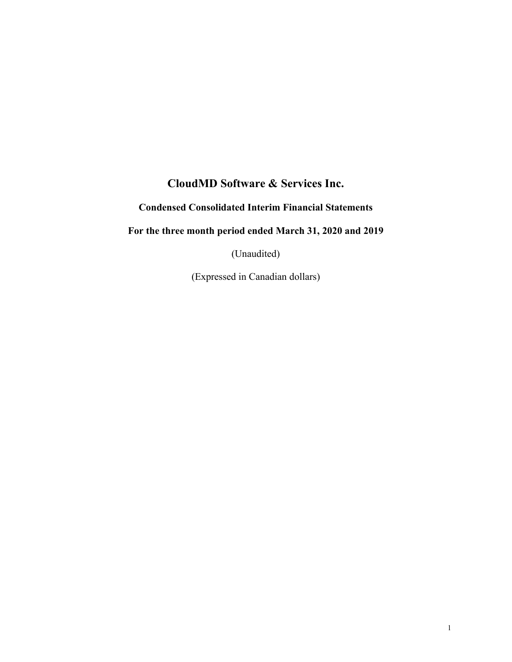# **CloudMD Software & Services Inc.**

# **Condensed Consolidated Interim Financial Statements**

# **For the three month period ended March 31, 2020 and 2019**

(Unaudited)

(Expressed in Canadian dollars)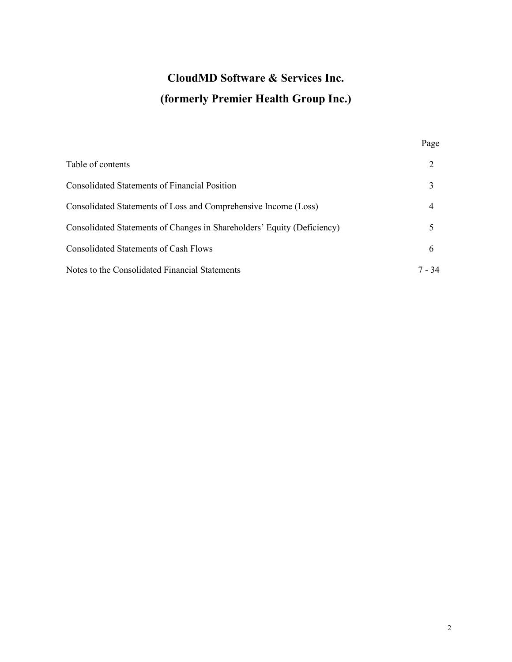# **CloudMD Software & Services Inc. (formerly Premier Health Group Inc.)**

|                                                                         | Page   |
|-------------------------------------------------------------------------|--------|
| Table of contents                                                       | 2      |
| <b>Consolidated Statements of Financial Position</b>                    |        |
| Consolidated Statements of Loss and Comprehensive Income (Loss)         | 4      |
| Consolidated Statements of Changes in Shareholders' Equity (Deficiency) |        |
| <b>Consolidated Statements of Cash Flows</b>                            | 6      |
| Notes to the Consolidated Financial Statements                          | 7 - 34 |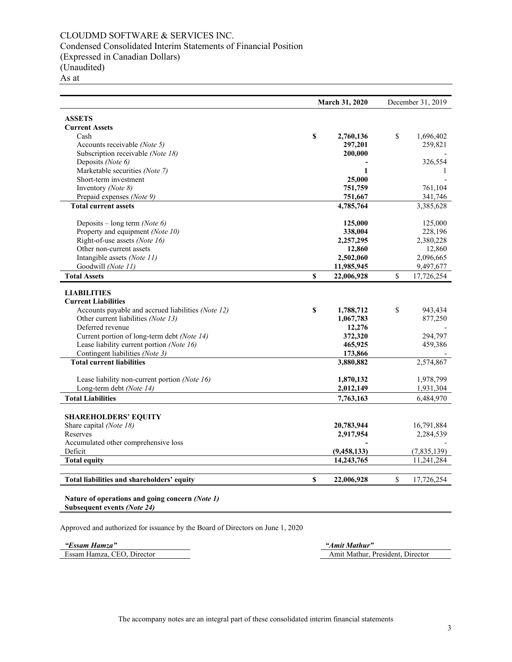# CLOUDMD SOFTWARE & SERVICES INC. Condensed Consolidated Interim Statements of Financial Position (Expressed in Canadian Dollars) (Unaudited)

As at

|                                                    |    | <b>March 31, 2020</b> |    | December 31, 2019 |
|----------------------------------------------------|----|-----------------------|----|-------------------|
| <b>ASSETS</b>                                      |    |                       |    |                   |
| <b>Current Assets</b>                              |    |                       |    |                   |
| Cash                                               | \$ | 2,760,136             | \$ | 1,696,402         |
| Accounts receivable (Note 5)                       |    | 297,201               |    | 259,821           |
| Subscription receivable (Note 18)                  |    | 200,000               |    |                   |
| Deposits (Note 6)                                  |    |                       |    | 326,554           |
| Marketable securities (Note 7)                     |    | 1                     |    | 1                 |
| Short-term investment                              |    | 25,000                |    |                   |
| Inventory (Note 8)                                 |    | 751,759               |    | 761,104           |
| Prepaid expenses (Note 9)                          |    | 751,667               |    | 341,746           |
| <b>Total current assets</b>                        |    | 4,785,764             |    | 3,385,628         |
|                                                    |    |                       |    |                   |
| Deposits – long term (Note 6)                      |    | 125,000               |    | 125,000           |
| Property and equipment (Note 10)                   |    | 338,004               |    | 228,196           |
| Right-of-use assets (Note 16)                      |    | 2,257,295             |    | 2,380,228         |
| Other non-current assets                           |    | 12,860                |    | 12,860            |
| Intangible assets (Note 11)                        |    | 2,502,060             |    | 2,096,665         |
| Goodwill (Note 11)                                 |    | 11,985,945            |    | 9,497,677         |
| <b>Total Assets</b>                                | S  | 22,006,928            | \$ | 17,726,254        |
| <b>LIABILITIES</b>                                 |    |                       |    |                   |
| <b>Current Liabilities</b>                         |    |                       |    |                   |
| Accounts payable and accrued liabilities (Note 12) | \$ | 1,788,712             | \$ | 943,434           |
| Other current liabilities (Note 13)                |    | 1,067,783             |    | 877,250           |
| Deferred revenue                                   |    | 12,276                |    |                   |
| Current portion of long-term debt (Note 14)        |    | 372,320               |    | 294,797           |
| Lease liability current portion (Note 16)          |    | 465,925               |    | 459,386           |
| Contingent liabilities (Note 3)                    |    | 173,866               |    |                   |
| <b>Total current liabilities</b>                   |    | 3,880,882             |    | 2,574,867         |
|                                                    |    |                       |    |                   |
| Lease liability non-current portion (Note 16)      |    | 1,870,132             |    | 1,978,799         |
| Long-term debt (Note 14)                           |    | 2,012,149             |    | 1,931,304         |
| <b>Total Liabilities</b>                           |    | 7,763,163             |    | 6,484,970         |
|                                                    |    |                       |    |                   |
| <b>SHAREHOLDERS' EQUITY</b>                        |    |                       |    |                   |
| Share capital (Note 18)<br>Reserves                |    | 20,783,944            |    | 16,791,884        |
|                                                    |    | 2,917,954             |    | 2,284,539         |
| Accumulated other comprehensive loss<br>Deficit    |    | (9, 458, 133)         |    | (7,835,139)       |
|                                                    |    |                       |    |                   |
| <b>Total equity</b>                                |    | 14,243,765            |    | 11,241,284        |
| Total liabilities and shareholders' equity         | \$ | 22,006,928            | \$ | 17,726,254        |

**Subsequent events** *(Note 24)*

Approved and authorized for issuance by the Board of Directors on June 1, 2020

*"Essam Hamza" "Amit Mathur"* 

Amit Mathur, President, Director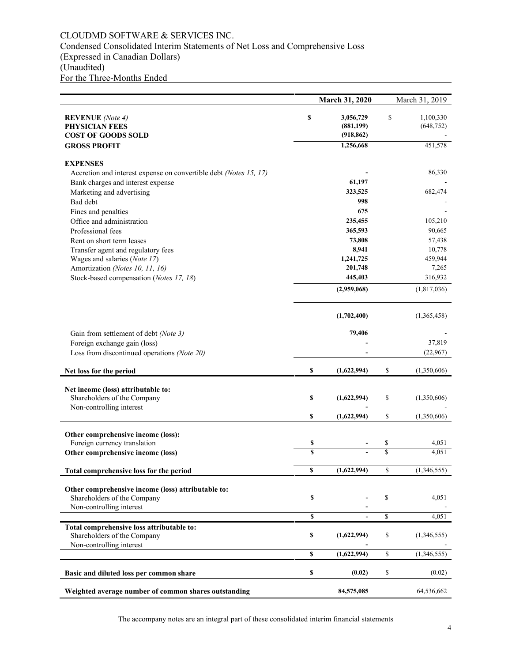# CLOUDMD SOFTWARE & SERVICES INC. Condensed Consolidated Interim Statements of Net Loss and Comprehensive Loss (Expressed in Canadian Dollars) (Unaudited) For the Three-Months Ended

|                                                                          |          | March 31, 2020           |              | March 31, 2019 |
|--------------------------------------------------------------------------|----------|--------------------------|--------------|----------------|
|                                                                          | \$       |                          | S            | 1,100,330      |
| <b>REVENUE</b> (Note 4)<br>PHYSICIAN FEES                                |          | 3,056,729<br>(881, 199)  |              | (648, 752)     |
| <b>COST OF GOODS SOLD</b>                                                |          | (918, 862)               |              |                |
| <b>GROSS PROFIT</b>                                                      |          | 1,256,668                |              | 451,578        |
|                                                                          |          |                          |              |                |
| <b>EXPENSES</b>                                                          |          |                          |              |                |
| Accretion and interest expense on convertible debt (Notes 15, 17)        |          |                          |              | 86,330         |
| Bank charges and interest expense                                        |          | 61,197                   |              |                |
| Marketing and advertising                                                |          | 323,525                  |              | 682,474        |
| Bad debt                                                                 |          | 998                      |              |                |
| Fines and penalties                                                      |          | 675                      |              |                |
| Office and administration                                                |          | 235,455                  |              | 105,210        |
| Professional fees                                                        |          | 365,593                  |              | 90,665         |
| Rent on short term leases                                                |          | 73,808                   |              | 57,438         |
| Transfer agent and regulatory fees                                       |          | 8,941                    |              | 10,778         |
| Wages and salaries (Note 17)                                             |          | 1,241,725                |              | 459,944        |
| Amortization (Notes 10, 11, 16)                                          |          | 201,748                  |              | 7,265          |
| Stock-based compensation (Notes 17, 18)                                  |          | 445,403                  |              | 316,932        |
|                                                                          |          | (2,959,068)              |              | (1,817,036)    |
|                                                                          |          | (1,702,400)              |              | (1,365,458)    |
|                                                                          |          | 79,406                   |              |                |
| Gain from settlement of debt (Note 3)                                    |          |                          |              | 37,819         |
| Foreign exchange gain (loss)                                             |          |                          |              |                |
| Loss from discontinued operations (Note 20)                              |          |                          |              | (22,967)       |
| Net loss for the period                                                  | \$       | (1,622,994)              | \$           | (1,350,606)    |
|                                                                          |          |                          |              |                |
| Net income (loss) attributable to:<br>Shareholders of the Company        | \$       | (1,622,994)              | \$           | (1,350,606)    |
| Non-controlling interest                                                 |          |                          |              |                |
|                                                                          | \$       | (1,622,994)              | \$           | (1,350,606)    |
|                                                                          |          |                          |              |                |
| Other comprehensive income (loss):                                       |          |                          |              |                |
| Foreign currency translation                                             | \$<br>\$ | $\overline{\phantom{0}}$ | \$<br>\$     | 4,051<br>4,051 |
| Other comprehensive income (loss)                                        |          |                          |              |                |
| Total comprehensive loss for the period                                  | \$       | (1,622,994)              | \$           | (1,346,555)    |
|                                                                          |          |                          |              |                |
| Other comprehensive income (loss) attributable to:                       |          |                          |              |                |
| Shareholders of the Company                                              | \$       |                          | \$           | 4,051          |
| Non-controlling interest                                                 |          |                          |              |                |
|                                                                          | \$       | $\overline{\phantom{a}}$ | \$           | 4,051          |
| Total comprehensive loss attributable to:<br>Shareholders of the Company | \$       | (1,622,994)              | \$           | (1,346,555)    |
| Non-controlling interest                                                 |          |                          |              |                |
|                                                                          | \$       | (1,622,994)              | $\mathbb{S}$ | (1,346,555)    |
| Basic and diluted loss per common share                                  | \$       | (0.02)                   | \$           | (0.02)         |
| Weighted average number of common shares outstanding                     |          | 84,575,085               |              | 64,536,662     |

The accompany notes are an integral part of these consolidated interim financial statements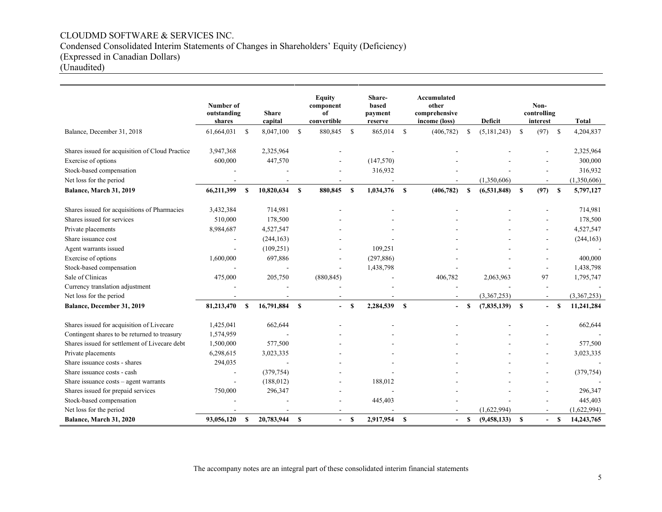# CLOUDMD SOFTWARE & SERVICES INC. Condensed Consolidated Interim Statements of Changes in Shareholders' Equity (Deficiency) (Expressed in Canadian Dollars)

(Unaudited)

|                                                 | Number of<br>outstanding<br>shares |               | <b>Share</b><br>capital |              | <b>Equity</b><br>component<br>of<br>convertible |              | Share-<br>based<br>payment<br>reserve |               | Accumulated<br>other<br>comprehensive<br>income (loss) |               | <b>Deficit</b> |               | Non-<br>controlling<br>interest |               | Total       |
|-------------------------------------------------|------------------------------------|---------------|-------------------------|--------------|-------------------------------------------------|--------------|---------------------------------------|---------------|--------------------------------------------------------|---------------|----------------|---------------|---------------------------------|---------------|-------------|
| Balance, December 31, 2018                      | 61,664,031                         | <sup>\$</sup> | 8,047,100               | $\mathbf{s}$ | 880,845                                         | -S           | 865,014                               | <sup>\$</sup> | (406, 782)                                             | S             | (5, 181, 243)  | \$            | (97)                            | <sup>\$</sup> | 4,204,837   |
| Shares issued for acquisition of Cloud Practice | 3,947,368                          |               | 2,325,964               |              |                                                 |              |                                       |               |                                                        |               |                |               |                                 |               | 2,325,964   |
| Exercise of options                             | 600,000                            |               | 447,570                 |              |                                                 |              | (147, 570)                            |               |                                                        |               |                |               |                                 |               | 300,000     |
| Stock-based compensation                        |                                    |               |                         |              | ÷,                                              |              | 316,932                               |               |                                                        |               |                |               |                                 |               | 316,932     |
| Net loss for the period                         |                                    |               |                         |              |                                                 |              |                                       |               |                                                        |               | (1,350,606)    |               |                                 |               | (1,350,606) |
| Balance, March 31, 2019                         | 66,211,399                         | -S            | 10,820,634              | -S           | 880,845                                         | $\mathbf{s}$ | 1,034,376                             | <b>S</b>      | (406, 782)                                             | <sup>\$</sup> | (6,531,848)    | <b>S</b>      | (97)                            | $\mathbf{s}$  | 5,797,127   |
| Shares issued for acquisitions of Pharmacies    | 3,432,384                          |               | 714,981                 |              |                                                 |              |                                       |               |                                                        |               |                |               |                                 |               | 714,981     |
| Shares issued for services                      | 510,000                            |               | 178,500                 |              |                                                 |              |                                       |               |                                                        |               |                |               |                                 |               | 178,500     |
| Private placements                              | 8,984,687                          |               | 4,527,547               |              |                                                 |              |                                       |               |                                                        |               |                |               |                                 |               | 4,527,547   |
| Share issuance cost                             |                                    |               | (244, 163)              |              |                                                 |              |                                       |               |                                                        |               |                |               |                                 |               | (244, 163)  |
| Agent warrants issued                           |                                    |               | (109, 251)              |              |                                                 |              | 109,251                               |               |                                                        |               |                |               |                                 |               |             |
| Exercise of options                             | 1,600,000                          |               | 697,886                 |              | $\blacksquare$                                  |              | (297, 886)                            |               |                                                        |               |                |               |                                 |               | 400,000     |
| Stock-based compensation                        |                                    |               |                         |              |                                                 |              | 1,438,798                             |               |                                                        |               |                |               |                                 |               | 1,438,798   |
| Sale of Clinicas                                | 475,000                            |               | 205,750                 |              | (880, 845)                                      |              |                                       |               | 406,782                                                |               | 2,063,963      |               | 97                              |               | 1,795,747   |
| Currency translation adjustment                 |                                    |               |                         |              |                                                 |              |                                       |               |                                                        |               |                |               |                                 |               |             |
| Net loss for the period                         |                                    |               |                         |              |                                                 |              |                                       |               |                                                        |               | (3,367,253)    |               |                                 |               | (3.367.253) |
| Balance, December 31, 2019                      | 81,213,470                         | - \$          | 16,791,884              | $\mathbf s$  | $\blacksquare$                                  | $\mathbf{s}$ | 2,284,539                             | $\mathbf{s}$  | $\overline{\phantom{a}}$                               | <sup>\$</sup> | (7,835,139)    | <sup>\$</sup> |                                 | S             | 11,241,284  |
| Shares issued for acquisition of Livecare       | 1,425,041                          |               | 662,644                 |              |                                                 |              |                                       |               |                                                        |               |                |               |                                 |               | 662,644     |
| Contingent shares to be returned to treasury    | 1,574,959                          |               |                         |              |                                                 |              |                                       |               |                                                        |               |                |               |                                 |               |             |
| Shares issued for settlement of Livecare debt   | 1,500,000                          |               | 577,500                 |              |                                                 |              |                                       |               |                                                        |               |                |               |                                 |               | 577,500     |
| Private placements                              | 6,298,615                          |               | 3,023,335               |              |                                                 |              |                                       |               |                                                        |               |                |               |                                 |               | 3,023,335   |
| Share issuance costs - shares                   | 294,035                            |               |                         |              |                                                 |              |                                       |               |                                                        |               |                |               |                                 |               |             |
| Share issuance costs - cash                     |                                    |               | (379, 754)              |              |                                                 |              |                                       |               |                                                        |               |                |               |                                 |               | (379, 754)  |
| Share issuance costs - agent warrants           |                                    |               | (188, 012)              |              |                                                 |              | 188,012                               |               |                                                        |               |                |               |                                 |               |             |
| Shares issued for prepaid services              | 750,000                            |               | 296,347                 |              |                                                 |              |                                       |               |                                                        |               |                |               |                                 |               | 296,347     |
| Stock-based compensation                        |                                    |               |                         |              |                                                 |              | 445,403                               |               |                                                        |               |                |               |                                 |               | 445,403     |
| Net loss for the period                         |                                    |               |                         |              |                                                 |              |                                       |               |                                                        |               | (1,622,994)    |               |                                 |               | (1,622,994) |
| Balance, March 31, 2020                         | 93,056,120                         | S             | 20,783,944              | -S           | $\blacksquare$                                  | $\mathbf{s}$ | 2,917,954                             | <sup>\$</sup> | $\blacksquare$                                         | <b>S</b>      | (9,458,133)    | S             |                                 | S             | 14,243,765  |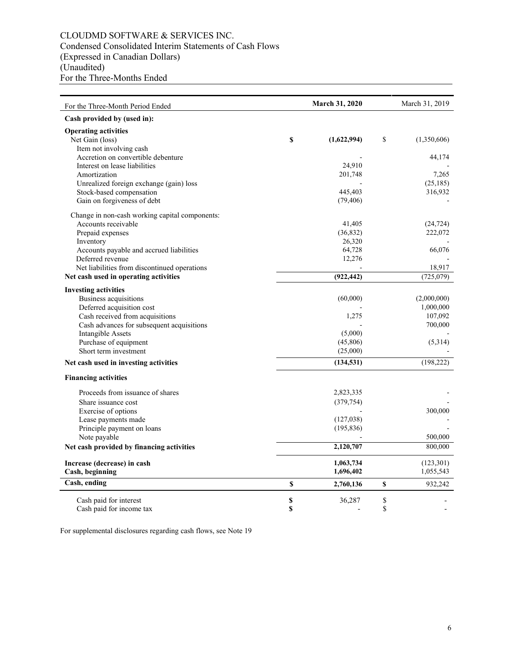# CLOUDMD SOFTWARE & SERVICES INC. Condensed Consolidated Interim Statements of Cash Flows (Expressed in Canadian Dollars) (Unaudited) For the Three-Months Ended

| For the Three-Month Period Ended                                      |          | <b>March 31, 2020</b>              |          | March 31, 2019         |
|-----------------------------------------------------------------------|----------|------------------------------------|----------|------------------------|
| Cash provided by (used in):                                           |          |                                    |          |                        |
| <b>Operating activities</b><br>Net Gain (loss)                        | \$       | (1,622,994)                        | S        | (1,350,606)            |
| Item not involving cash<br>Accretion on convertible debenture         |          |                                    |          | 44,174                 |
| Interest on lease liabilities<br>Amortization                         |          | 24,910<br>201,748                  |          | 7,265                  |
| Unrealized foreign exchange (gain) loss<br>Stock-based compensation   |          | 445,403                            |          | (25, 185)<br>316,932   |
| Gain on forgiveness of debt                                           |          | (79, 406)                          |          |                        |
| Change in non-cash working capital components:                        |          |                                    |          |                        |
| Accounts receivable<br>Prepaid expenses                               |          | 41,405<br>(36, 832)                |          | (24, 724)<br>222,072   |
| Inventory                                                             |          | 26,320                             |          |                        |
| Accounts payable and accrued liabilities<br>Deferred revenue          |          | 64,728<br>12,276                   |          | 66,076                 |
| Net liabilities from discontinued operations                          |          |                                    |          | 18,917                 |
| Net cash used in operating activities                                 |          | (922, 442)                         |          | (725,079)              |
| <b>Investing activities</b>                                           |          |                                    |          |                        |
| <b>Business acquisitions</b>                                          |          | (60,000)                           |          | (2,000,000)            |
| Deferred acquisition cost                                             |          |                                    |          | 1,000,000              |
| Cash received from acquisitions                                       |          | 1,275                              |          | 107,092                |
| Cash advances for subsequent acquisitions<br><b>Intangible Assets</b> |          | (5,000)                            |          | 700,000                |
| Purchase of equipment                                                 |          | (45,806)                           |          | (5,314)                |
| Short term investment                                                 |          | (25,000)                           |          |                        |
| Net cash used in investing activities                                 |          | (134, 531)                         |          | (198, 222)             |
| <b>Financing activities</b>                                           |          |                                    |          |                        |
| Proceeds from issuance of shares                                      |          | 2,823,335                          |          |                        |
| Share issuance cost                                                   |          | (379, 754)                         |          |                        |
| Exercise of options                                                   |          |                                    |          | 300,000                |
| Lease payments made                                                   |          | (127,038)                          |          |                        |
| Principle payment on loans                                            |          | (195, 836)                         |          |                        |
| Note payable                                                          |          | 2,120,707                          |          | 500,000<br>800,000     |
| Net cash provided by financing activities                             |          |                                    |          |                        |
| Increase (decrease) in cash<br>Cash, beginning                        |          | 1,063,734<br>1,696,402             |          | (123,301)<br>1,055,543 |
| Cash, ending                                                          | \$       | 2,760,136                          | \$       | 932,242                |
|                                                                       |          |                                    |          |                        |
| Cash paid for interest<br>Cash paid for income tax                    | \$<br>\$ | 36,287<br>$\overline{\phantom{a}}$ | \$<br>\$ |                        |

For supplemental disclosures regarding cash flows, see Note 19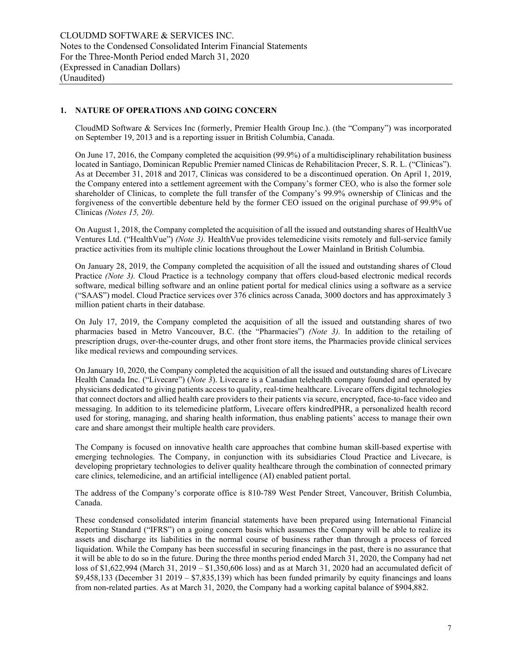# **1. NATURE OF OPERATIONS AND GOING CONCERN**

CloudMD Software & Services Inc (formerly, Premier Health Group Inc.). (the "Company") was incorporated on September 19, 2013 and is a reporting issuer in British Columbia, Canada.

On June 17, 2016, the Company completed the acquisition (99.9%) of a multidisciplinary rehabilitation business located in Santiago, Dominican Republic Premier named Clinicas de Rehabilitacion Precer, S. R. L. ("Clinicas"). As at December 31, 2018 and 2017, Clinicas was considered to be a discontinued operation. On April 1, 2019, the Company entered into a settlement agreement with the Company's former CEO, who is also the former sole shareholder of Clinicas, to complete the full transfer of the Company's 99.9% ownership of Clinicas and the forgiveness of the convertible debenture held by the former CEO issued on the original purchase of 99.9% of Clinicas *(Notes 15, 20).* 

On August 1, 2018, the Company completed the acquisition of all the issued and outstanding shares of HealthVue Ventures Ltd. ("HealthVue") *(Note 3).* HealthVue provides telemedicine visits remotely and full-service family practice activities from its multiple clinic locations throughout the Lower Mainland in British Columbia.

On January 28, 2019, the Company completed the acquisition of all the issued and outstanding shares of Cloud Practice *(Note 3)*. Cloud Practice is a technology company that offers cloud-based electronic medical records software, medical billing software and an online patient portal for medical clinics using a software as a service ("SAAS") model. Cloud Practice services over 376 clinics across Canada, 3000 doctors and has approximately 3 million patient charts in their database.

On July 17, 2019, the Company completed the acquisition of all the issued and outstanding shares of two pharmacies based in Metro Vancouver, B.C. (the "Pharmacies") *(Note 3)*. In addition to the retailing of prescription drugs, over-the-counter drugs, and other front store items, the Pharmacies provide clinical services like medical reviews and compounding services.

On January 10, 2020, the Company completed the acquisition of all the issued and outstanding shares of Livecare Health Canada Inc. ("Livecare") (*Note 3*). Livecare is a Canadian telehealth company founded and operated by physicians dedicated to giving patients access to quality, real-time healthcare. Livecare offers digital technologies that connect doctors and allied health care providers to their patients via secure, encrypted, face-to-face video and messaging. In addition to its telemedicine platform, Livecare offers kindredPHR, a personalized health record used for storing, managing, and sharing health information, thus enabling patients' access to manage their own care and share amongst their multiple health care providers.

The Company is focused on innovative health care approaches that combine human skill-based expertise with emerging technologies. The Company, in conjunction with its subsidiaries Cloud Practice and Livecare, is developing proprietary technologies to deliver quality healthcare through the combination of connected primary care clinics, telemedicine, and an artificial intelligence (AI) enabled patient portal.

The address of the Company's corporate office is 810-789 West Pender Street, Vancouver, British Columbia, Canada.

These condensed consolidated interim financial statements have been prepared using International Financial Reporting Standard ("IFRS") on a going concern basis which assumes the Company will be able to realize its assets and discharge its liabilities in the normal course of business rather than through a process of forced liquidation. While the Company has been successful in securing financings in the past, there is no assurance that it will be able to do so in the future. During the three months period ended March 31, 2020, the Company had net loss of \$1,622,994 (March 31, 2019 – \$1,350,606 loss) and as at March 31, 2020 had an accumulated deficit of  $$9,458,133$  (December 31 2019 –  $$7,835,139$ ) which has been funded primarily by equity financings and loans from non-related parties. As at March 31, 2020, the Company had a working capital balance of \$904,882.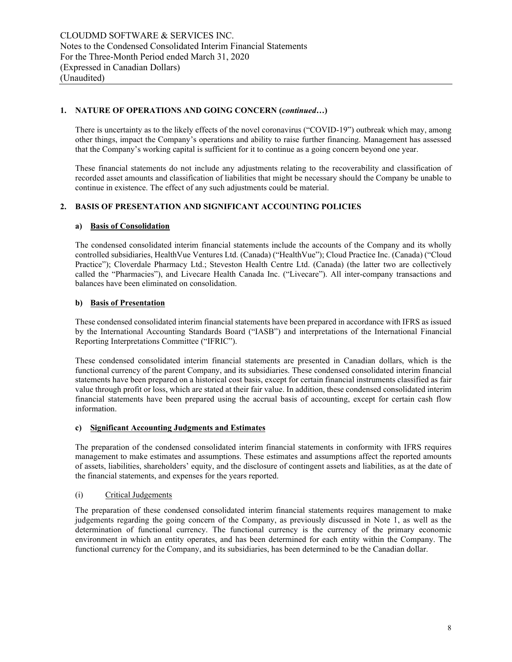# **1. NATURE OF OPERATIONS AND GOING CONCERN (***continued…***)**

There is uncertainty as to the likely effects of the novel coronavirus ("COVID-19") outbreak which may, among other things, impact the Company's operations and ability to raise further financing. Management has assessed that the Company's working capital is sufficient for it to continue as a going concern beyond one year.

These financial statements do not include any adjustments relating to the recoverability and classification of recorded asset amounts and classification of liabilities that might be necessary should the Company be unable to continue in existence. The effect of any such adjustments could be material.

# **2. BASIS OF PRESENTATION AND SIGNIFICANT ACCOUNTING POLICIES**

# **a) Basis of Consolidation**

The condensed consolidated interim financial statements include the accounts of the Company and its wholly controlled subsidiaries, HealthVue Ventures Ltd. (Canada) ("HealthVue"); Cloud Practice Inc. (Canada) ("Cloud Practice"); Cloverdale Pharmacy Ltd.; Steveston Health Centre Ltd. (Canada) (the latter two are collectively called the "Pharmacies"), and Livecare Health Canada Inc. ("Livecare"). All inter-company transactions and balances have been eliminated on consolidation.

# **b) Basis of Presentation**

These condensed consolidated interim financial statements have been prepared in accordance with IFRS as issued by the International Accounting Standards Board ("IASB") and interpretations of the International Financial Reporting Interpretations Committee ("IFRIC").

These condensed consolidated interim financial statements are presented in Canadian dollars, which is the functional currency of the parent Company, and its subsidiaries. These condensed consolidated interim financial statements have been prepared on a historical cost basis, except for certain financial instruments classified as fair value through profit or loss, which are stated at their fair value. In addition, these condensed consolidated interim financial statements have been prepared using the accrual basis of accounting, except for certain cash flow information.

# **c) Significant Accounting Judgments and Estimates**

The preparation of the condensed consolidated interim financial statements in conformity with IFRS requires management to make estimates and assumptions. These estimates and assumptions affect the reported amounts of assets, liabilities, shareholders' equity, and the disclosure of contingent assets and liabilities, as at the date of the financial statements, and expenses for the years reported.

# (i) Critical Judgements

The preparation of these condensed consolidated interim financial statements requires management to make judgements regarding the going concern of the Company, as previously discussed in Note 1, as well as the determination of functional currency. The functional currency is the currency of the primary economic environment in which an entity operates, and has been determined for each entity within the Company. The functional currency for the Company, and its subsidiaries, has been determined to be the Canadian dollar.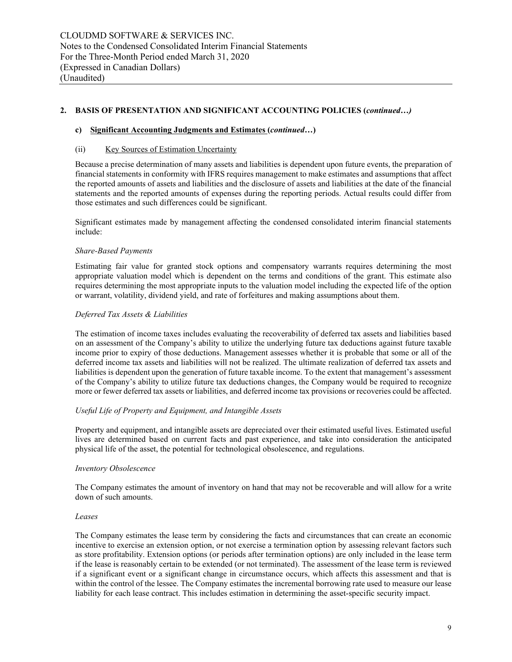# **2. BASIS OF PRESENTATION AND SIGNIFICANT ACCOUNTING POLICIES (***continued…)*

#### **c) Significant Accounting Judgments and Estimates (***continued…***)**

#### (ii) Key Sources of Estimation Uncertainty

Because a precise determination of many assets and liabilities is dependent upon future events, the preparation of financial statements in conformity with IFRS requires management to make estimates and assumptions that affect the reported amounts of assets and liabilities and the disclosure of assets and liabilities at the date of the financial statements and the reported amounts of expenses during the reporting periods. Actual results could differ from those estimates and such differences could be significant.

Significant estimates made by management affecting the condensed consolidated interim financial statements include:

#### *Share-Based Payments*

Estimating fair value for granted stock options and compensatory warrants requires determining the most appropriate valuation model which is dependent on the terms and conditions of the grant. This estimate also requires determining the most appropriate inputs to the valuation model including the expected life of the option or warrant, volatility, dividend yield, and rate of forfeitures and making assumptions about them.

#### *Deferred Tax Assets & Liabilities*

The estimation of income taxes includes evaluating the recoverability of deferred tax assets and liabilities based on an assessment of the Company's ability to utilize the underlying future tax deductions against future taxable income prior to expiry of those deductions. Management assesses whether it is probable that some or all of the deferred income tax assets and liabilities will not be realized. The ultimate realization of deferred tax assets and liabilities is dependent upon the generation of future taxable income. To the extent that management's assessment of the Company's ability to utilize future tax deductions changes, the Company would be required to recognize more or fewer deferred tax assets or liabilities, and deferred income tax provisions or recoveries could be affected.

# *Useful Life of Property and Equipment, and Intangible Assets*

Property and equipment, and intangible assets are depreciated over their estimated useful lives. Estimated useful lives are determined based on current facts and past experience, and take into consideration the anticipated physical life of the asset, the potential for technological obsolescence, and regulations.

#### *Inventory Obsolescence*

The Company estimates the amount of inventory on hand that may not be recoverable and will allow for a write down of such amounts.

#### *Leases*

The Company estimates the lease term by considering the facts and circumstances that can create an economic incentive to exercise an extension option, or not exercise a termination option by assessing relevant factors such as store profitability. Extension options (or periods after termination options) are only included in the lease term if the lease is reasonably certain to be extended (or not terminated). The assessment of the lease term is reviewed if a significant event or a significant change in circumstance occurs, which affects this assessment and that is within the control of the lessee. The Company estimates the incremental borrowing rate used to measure our lease liability for each lease contract. This includes estimation in determining the asset-specific security impact.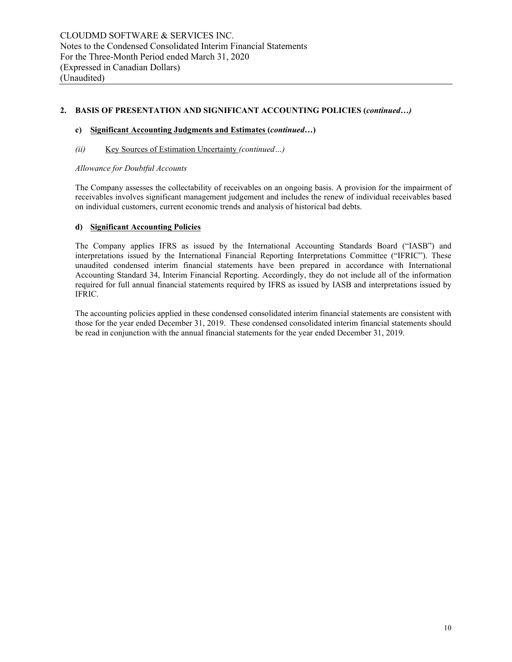# **2. BASIS OF PRESENTATION AND SIGNIFICANT ACCOUNTING POLICIES (***continued…)*

#### **c) Significant Accounting Judgments and Estimates (***continued…***)**

#### *(ii)* Key Sources of Estimation Uncertainty *(continued…)*

#### *Allowance for Doubtful Accounts*

The Company assesses the collectability of receivables on an ongoing basis. A provision for the impairment of receivables involves significant management judgement and includes the renew of individual receivables based on individual customers, current economic trends and analysis of historical bad debts.

#### **d) Significant Accounting Policies**

The Company applies IFRS as issued by the International Accounting Standards Board ("IASB") and interpretations issued by the International Financial Reporting Interpretations Committee ("IFRIC"). These unaudited condensed interim financial statements have been prepared in accordance with International Accounting Standard 34, Interim Financial Reporting. Accordingly, they do not include all of the information required for full annual financial statements required by IFRS as issued by IASB and interpretations issued by IFRIC.

The accounting policies applied in these condensed consolidated interim financial statements are consistent with those for the year ended December 31, 2019. These condensed consolidated interim financial statements should be read in conjunction with the annual financial statements for the year ended December 31, 2019.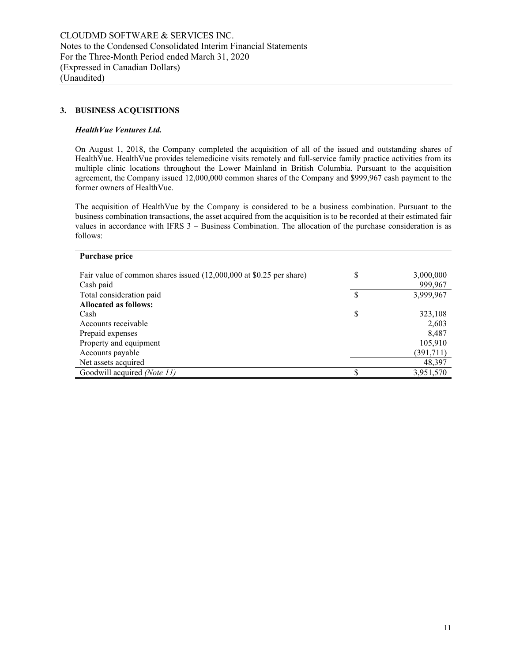# **3. BUSINESS ACQUISITIONS**

#### *HealthVue Ventures Ltd.*

On August 1, 2018, the Company completed the acquisition of all of the issued and outstanding shares of HealthVue. HealthVue provides telemedicine visits remotely and full-service family practice activities from its multiple clinic locations throughout the Lower Mainland in British Columbia. Pursuant to the acquisition agreement, the Company issued 12,000,000 common shares of the Company and \$999,967 cash payment to the former owners of HealthVue.

The acquisition of HealthVue by the Company is considered to be a business combination. Pursuant to the business combination transactions, the asset acquired from the acquisition is to be recorded at their estimated fair values in accordance with IFRS 3 – Business Combination. The allocation of the purchase consideration is as follows:

| Purchase price                                                      |    |           |
|---------------------------------------------------------------------|----|-----------|
|                                                                     |    |           |
| Fair value of common shares issued (12,000,000 at \$0.25 per share) | \$ | 3,000,000 |
| Cash paid                                                           |    | 999,967   |
| Total consideration paid                                            | \$ | 3,999,967 |
| <b>Allocated as follows:</b>                                        |    |           |
| Cash                                                                | S  | 323,108   |
| Accounts receivable                                                 |    | 2,603     |
| Prepaid expenses                                                    |    | 8,487     |
| Property and equipment                                              |    | 105,910   |
| Accounts payable                                                    |    | (391,711) |
| Net assets acquired                                                 |    | 48,397    |
| Goodwill acquired <i>(Note 11)</i>                                  |    | 3,951,570 |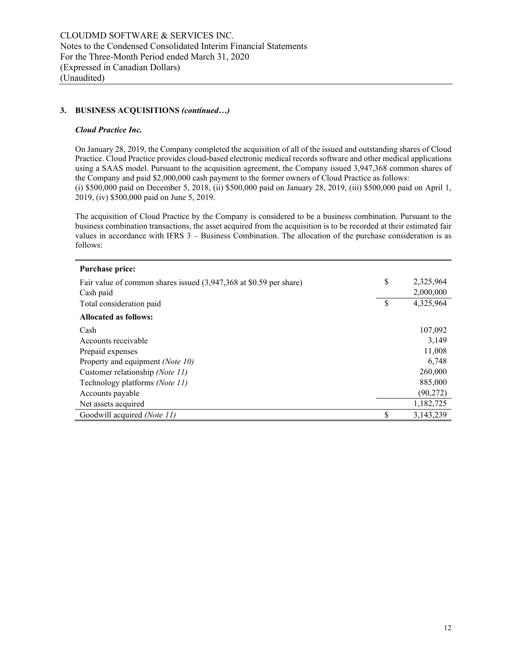#### *Cloud Practice Inc.*

On January 28, 2019, the Company completed the acquisition of all of the issued and outstanding shares of Cloud Practice. Cloud Practice provides cloud-based electronic medical records software and other medical applications using a SAAS model. Pursuant to the acquisition agreement, the Company issued 3,947,368 common shares of the Company and paid \$2,000,000 cash payment to the former owners of Cloud Practice as follows: (i) \$500,000 paid on December 5, 2018, (ii) \$500,000 paid on January 28, 2019, (iii) \$500,000 paid on April 1, 2019, (iv) \$500,000 paid on June 5, 2019.

The acquisition of Cloud Practice by the Company is considered to be a business combination. Pursuant to the business combination transactions, the asset acquired from the acquisition is to be recorded at their estimated fair values in accordance with IFRS 3 – Business Combination. The allocation of the purchase consideration is as follows:

| <b>Purchase price:</b>                                             |                 |
|--------------------------------------------------------------------|-----------------|
| Fair value of common shares issued (3,947,368 at \$0.59 per share) | \$<br>2,325,964 |
| Cash paid                                                          | 2,000,000       |
| Total consideration paid                                           | \$<br>4,325,964 |
| <b>Allocated as follows:</b>                                       |                 |
| Cash                                                               | 107,092         |
| Accounts receivable                                                | 3,149           |
| Prepaid expenses                                                   | 11,008          |
| Property and equipment (Note 10)                                   | 6,748           |
| Customer relationship (Note 11)                                    | 260,000         |
| Technology platforms (Note 11)                                     | 885,000         |
| Accounts payable                                                   | (90,272)        |
| Net assets acquired                                                | 1,182,725       |
| Goodwill acquired (Note 11)                                        | \$<br>3,143,239 |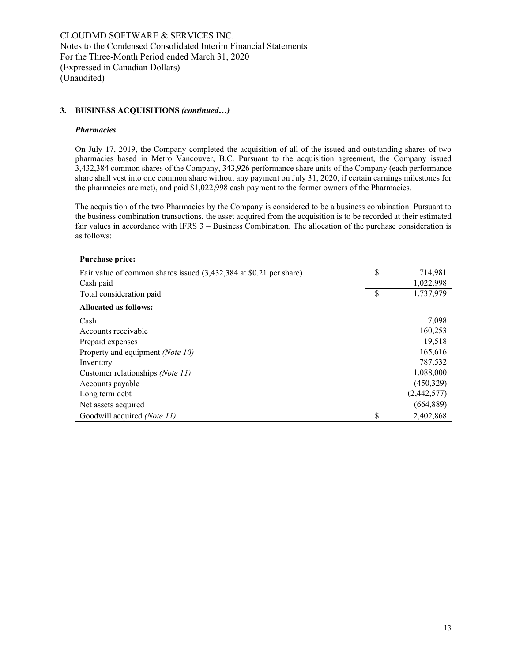#### *Pharmacies*

On July 17, 2019, the Company completed the acquisition of all of the issued and outstanding shares of two pharmacies based in Metro Vancouver, B.C. Pursuant to the acquisition agreement, the Company issued 3,432,384 common shares of the Company, 343,926 performance share units of the Company (each performance share shall vest into one common share without any payment on July 31, 2020, if certain earnings milestones for the pharmacies are met), and paid \$1,022,998 cash payment to the former owners of the Pharmacies.

The acquisition of the two Pharmacies by the Company is considered to be a business combination. Pursuant to the business combination transactions, the asset acquired from the acquisition is to be recorded at their estimated fair values in accordance with IFRS 3 – Business Combination. The allocation of the purchase consideration is as follows:

| <b>Purchase price:</b>                                             |                 |
|--------------------------------------------------------------------|-----------------|
| Fair value of common shares issued (3,432,384 at \$0.21 per share) | \$<br>714,981   |
| Cash paid                                                          | 1,022,998       |
| Total consideration paid                                           | \$<br>1,737,979 |
| <b>Allocated as follows:</b>                                       |                 |
| Cash                                                               | 7,098           |
| Accounts receivable                                                | 160,253         |
| Prepaid expenses                                                   | 19,518          |
| Property and equipment (Note 10)                                   | 165,616         |
| Inventory                                                          | 787,532         |
| Customer relationships (Note 11)                                   | 1,088,000       |
| Accounts payable                                                   | (450,329)       |
| Long term debt                                                     | (2,442,577)     |
| Net assets acquired                                                | (664, 889)      |
| Goodwill acquired (Note 11)                                        | \$<br>2,402,868 |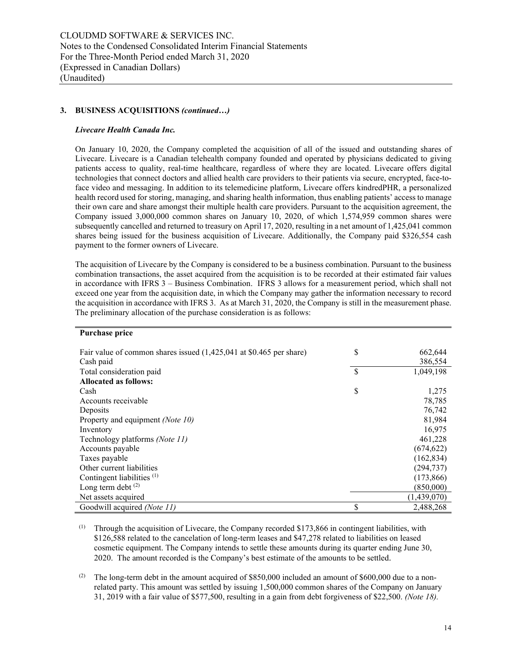#### *Livecare Health Canada Inc.*

On January 10, 2020, the Company completed the acquisition of all of the issued and outstanding shares of Livecare. Livecare is a Canadian telehealth company founded and operated by physicians dedicated to giving patients access to quality, real-time healthcare, regardless of where they are located. Livecare offers digital technologies that connect doctors and allied health care providers to their patients via secure, encrypted, face-toface video and messaging. In addition to its telemedicine platform, Livecare offers kindredPHR, a personalized health record used for storing, managing, and sharing health information, thus enabling patients' access to manage their own care and share amongst their multiple health care providers. Pursuant to the acquisition agreement, the Company issued 3,000,000 common shares on January 10, 2020, of which 1,574,959 common shares were subsequently cancelled and returned to treasury on April 17, 2020, resulting in a net amount of 1,425,041 common shares being issued for the business acquisition of Livecare. Additionally, the Company paid \$326,554 cash payment to the former owners of Livecare.

The acquisition of Livecare by the Company is considered to be a business combination. Pursuant to the business combination transactions, the asset acquired from the acquisition is to be recorded at their estimated fair values in accordance with IFRS 3 – Business Combination. IFRS 3 allows for a measurement period, which shall not exceed one year from the acquisition date, in which the Company may gather the information necessary to record the acquisition in accordance with IFRS 3. As at March 31, 2020, the Company is still in the measurement phase. The preliminary allocation of the purchase consideration is as follows:

#### **Purchase price**

| Fair value of common shares issued (1,425,041 at \$0.465 per share) | \$<br>662,644   |
|---------------------------------------------------------------------|-----------------|
| Cash paid                                                           | 386,554         |
| Total consideration paid                                            | \$<br>1,049,198 |
| <b>Allocated as follows:</b>                                        |                 |
| Cash                                                                | \$<br>1,275     |
| Accounts receivable                                                 | 78,785          |
| Deposits                                                            | 76,742          |
| Property and equipment (Note 10)                                    | 81,984          |
| Inventory                                                           | 16,975          |
| Technology platforms (Note 11)                                      | 461,228         |
| Accounts payable                                                    | (674, 622)      |
| Taxes payable                                                       | (162, 834)      |
| Other current liabilities                                           | (294, 737)      |
| Contingent liabilities <sup>(1)</sup>                               | (173, 866)      |
| Long term debt $(2)$                                                | (850,000)       |
| Net assets acquired                                                 | (1,439,070)     |
| Goodwill acquired (Note 11)                                         | \$<br>2,488,268 |

<sup>(1)</sup> Through the acquisition of Livecare, the Company recorded \$173,866 in contingent liabilities, with \$126,588 related to the cancelation of long-term leases and \$47,278 related to liabilities on leased cosmetic equipment. The Company intends to settle these amounts during its quarter ending June 30, 2020. The amount recorded is the Company's best estimate of the amounts to be settled.

<sup>(2)</sup> The long-term debt in the amount acquired of  $$850,000$  included an amount of  $$600,000$  due to a nonrelated party. This amount was settled by issuing 1,500,000 common shares of the Company on January 31, 2019 with a fair value of \$577,500, resulting in a gain from debt forgiveness of \$22,500. *(Note 18).*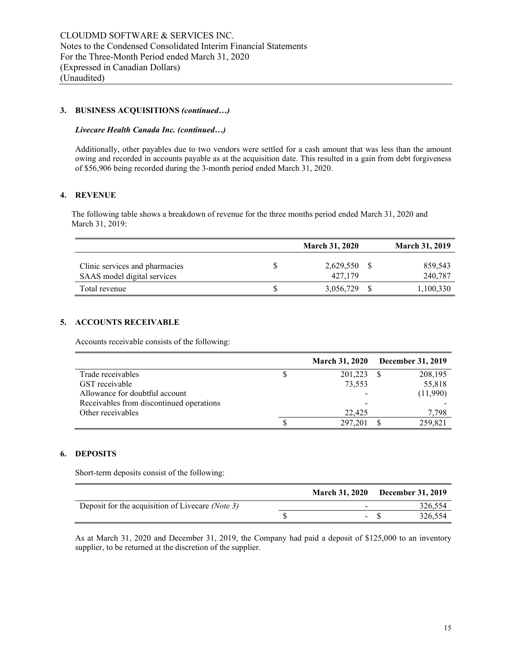#### *Livecare Health Canada Inc. (continued…)*

Additionally, other payables due to two vendors were settled for a cash amount that was less than the amount owing and recorded in accounts payable as at the acquisition date. This resulted in a gain from debt forgiveness of \$56,906 being recorded during the 3-month period ended March 31, 2020.

#### **4. REVENUE**

The following table shows a breakdown of revenue for the three months period ended March 31, 2020 and March 31, 2019:

|                                                               | <b>March 31, 2020</b> | <b>March 31, 2019</b> |
|---------------------------------------------------------------|-----------------------|-----------------------|
| Clinic services and pharmacies<br>SAAS model digital services | 2,629,550<br>427.179  | 859,543<br>240,787    |
| Total revenue                                                 | 3,056,729             | 1,100,330             |

# **5. ACCOUNTS RECEIVABLE**

Accounts receivable consists of the following:

|                                          | <b>March 31, 2020</b> | <b>December 31, 2019</b> |
|------------------------------------------|-----------------------|--------------------------|
| Trade receivables                        | 201,223               | 208,195                  |
| GST receivable                           | 73,553                | 55,818                   |
| Allowance for doubtful account           |                       | (11,990)                 |
| Receivables from discontinued operations |                       |                          |
| Other receivables                        | 22,425                | 7,798                    |
|                                          | 297,201               | 259.821                  |

#### **6. DEPOSITS**

Short-term deposits consist of the following:

|                                                  |               | March 31, 2020 December 31, 2019 |
|--------------------------------------------------|---------------|----------------------------------|
| Deposit for the acquisition of Livecare (Note 3) |               | 326,554                          |
|                                                  | $\sim$ $\sim$ | 326,554                          |

As at March 31, 2020 and December 31, 2019, the Company had paid a deposit of \$125,000 to an inventory supplier, to be returned at the discretion of the supplier.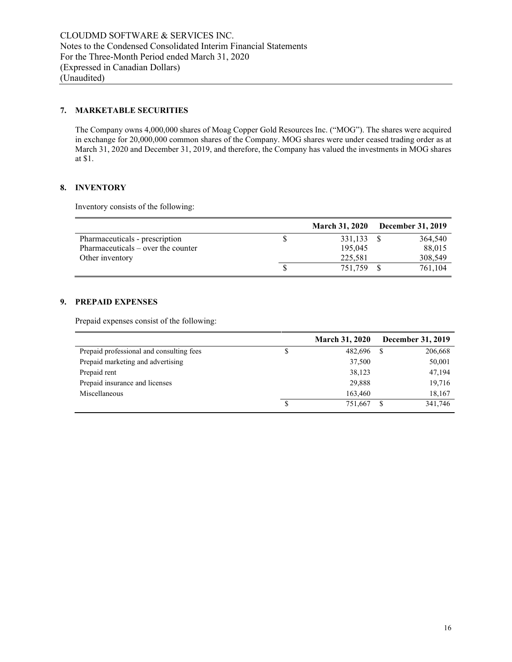# **7. MARKETABLE SECURITIES**

The Company owns 4,000,000 shares of Moag Copper Gold Resources Inc. ("MOG"). The shares were acquired in exchange for 20,000,000 common shares of the Company. MOG shares were under ceased trading order as at March 31, 2020 and December 31, 2019, and therefore, the Company has valued the investments in MOG shares at \$1.

#### **8. INVENTORY**

Inventory consists of the following:

|                                     | <b>March 31, 2020</b> | <b>December 31, 2019</b> |
|-------------------------------------|-----------------------|--------------------------|
| Pharmaceuticals - prescription      | 331.133 \$            | 364,540                  |
| $Pharmaceticals - over the counter$ | 195,045               | 88,015                   |
| Other inventory                     | 225,581               | 308,549                  |
|                                     | 751.759               | 761.104                  |

#### **9. PREPAID EXPENSES**

Prepaid expenses consist of the following:

|                                          | <b>March 31, 2020</b> | December 31, 2019 |
|------------------------------------------|-----------------------|-------------------|
| Prepaid professional and consulting fees | 482,696               | 206,668<br>S      |
| Prepaid marketing and advertising        | 37,500                | 50,001            |
| Prepaid rent                             | 38,123                | 47,194            |
| Prepaid insurance and licenses           | 29,888                | 19,716            |
| Miscellaneous                            | 163,460               | 18,167            |
|                                          | 751.667               | 341,746<br>S      |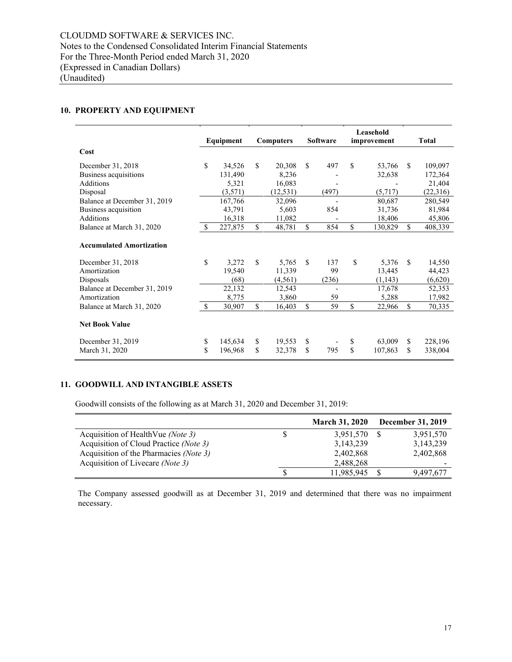# **10. PROPERTY AND EQUIPMENT**

|                                 |               |           |             |                  |                 | Leasehold     |               |          |
|---------------------------------|---------------|-----------|-------------|------------------|-----------------|---------------|---------------|----------|
|                                 |               | Equipment |             | <b>Computers</b> | <b>Software</b> | improvement   |               | Total    |
| Cost                            |               |           |             |                  |                 |               |               |          |
| December 31, 2018               | \$            | 34.526    | \$          | 20,308           | \$<br>497       | \$<br>53,766  | \$.           | 109,097  |
| Business acquisitions           |               | 131,490   |             | 8,236            |                 | 32,638        |               | 172,364  |
| Additions                       |               | 5,321     |             | 16,083           |                 |               |               | 21,404   |
| Disposal                        |               | (3,571)   |             | (12, 531)        | (497)           | (5,717)       |               | (22,316) |
| Balance at December 31, 2019    |               | 167,766   |             | 32,096           |                 | 80,687        |               | 280,549  |
| Business acquisition            |               | 43,791    |             | 5.603            | 854             | 31,736        |               | 81,984   |
| <b>Additions</b>                |               | 16,318    |             | 11,082           |                 | 18,406        |               | 45,806   |
| Balance at March 31, 2020       | -S            | 227,875   | \$          | 48,781           | \$<br>854       | \$<br>130,829 | \$            | 408,339  |
| <b>Accumulated Amortization</b> |               |           |             |                  |                 |               |               |          |
| December 31, 2018               | \$            | 3,272     | $\mathbf S$ | 5,765            | \$<br>137       | \$<br>5,376   | <sup>\$</sup> | 14,550   |
| Amortization                    |               | 19,540    |             | 11,339           | 99              | 13,445        |               | 44,423   |
| Disposals                       |               | (68)      |             | (4, 561)         | (236)           | (1,143)       |               | (6,620)  |
| Balance at December 31, 2019    |               | 22,132    |             | 12,543           |                 | 17,678        |               | 52,353   |
| Amortization                    |               | 8,775     |             | 3,860            | 59              | 5,288         |               | 17,982   |
| Balance at March 31, 2020       | <sup>\$</sup> | 30,907    | \$          | 16,403           | \$<br>59        | \$<br>22,966  | \$            | 70,335   |
| <b>Net Book Value</b>           |               |           |             |                  |                 |               |               |          |
| December 31, 2019               | \$            | 145,634   | \$          | 19,553           | \$              | \$<br>63,009  | \$            | 228,196  |
| March 31, 2020                  | \$            | 196,968   | \$          | 32,378           | \$<br>795       | \$<br>107,863 | \$            | 338,004  |

# **11. GOODWILL AND INTANGIBLE ASSETS**

Goodwill consists of the following as at March 31, 2020 and December 31, 2019:

|                                        | <b>March 31, 2020</b> | <b>December 31, 2019</b> |
|----------------------------------------|-----------------------|--------------------------|
| Acquisition of HealthVue (Note 3)      | 3,951,570             | 3,951,570                |
| Acquisition of Cloud Practice (Note 3) | 3,143,239             | 3,143,239                |
| Acquisition of the Pharmacies (Note 3) | 2,402,868             | 2,402,868                |
| Acquisition of Livecare (Note 3)       | 2,488,268             |                          |
|                                        | 11,985,945            | 9.497.677                |

The Company assessed goodwill as at December 31, 2019 and determined that there was no impairment necessary.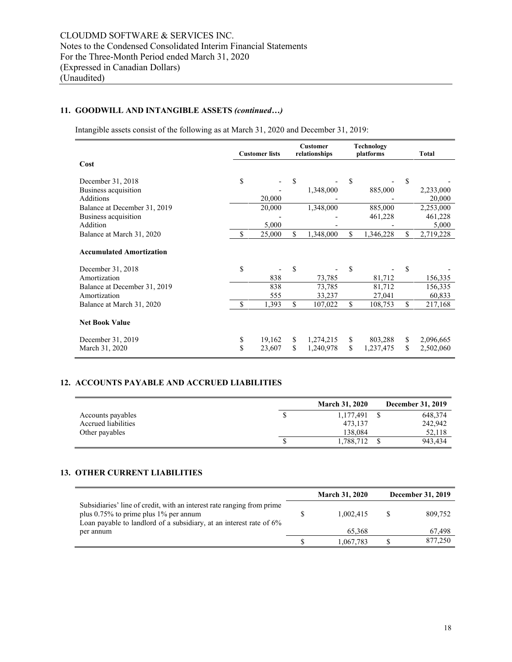# **11. GOODWILL AND INTANGIBLE ASSETS** *(continued…)*

Intangible assets consist of the following as at March 31, 2020 and December 31, 2019:

|                                 | <b>Customer lists</b> |        | <b>Customer</b><br>relationships |           | Technology<br>platforms |           | Total           |
|---------------------------------|-----------------------|--------|----------------------------------|-----------|-------------------------|-----------|-----------------|
| Cost                            |                       |        |                                  |           |                         |           |                 |
| December 31, 2018               | \$                    |        | \$                               |           | \$                      |           | \$              |
| Business acquisition            |                       |        |                                  | 1,348,000 |                         | 885,000   | 2,233,000       |
| <b>Additions</b>                |                       | 20,000 |                                  |           |                         |           | 20,000          |
| Balance at December 31, 2019    |                       | 20,000 |                                  | 1,348,000 |                         | 885,000   | 2,253,000       |
| Business acquisition            |                       |        |                                  |           |                         | 461,228   | 461,228         |
| Addition                        |                       | 5,000  |                                  |           |                         |           | 5,000           |
| Balance at March 31, 2020       | \$                    | 25,000 | \$                               | 1,348,000 | \$                      | 1,346,228 | \$<br>2,719,228 |
| <b>Accumulated Amortization</b> |                       |        |                                  |           |                         |           |                 |
| December 31, 2018               | \$                    |        | \$                               |           | \$                      |           | \$              |
| Amortization                    |                       | 838    |                                  | 73,785    |                         | 81,712    | 156,335         |
| Balance at December 31, 2019    |                       | 838    |                                  | 73,785    |                         | 81,712    | 156,335         |
| Amortization                    |                       | 555    |                                  | 33,237    |                         | 27,041    | 60,833          |
| Balance at March 31, 2020       | \$                    | 1,393  | \$                               | 107,022   | \$                      | 108,753   | \$<br>217,168   |
| <b>Net Book Value</b>           |                       |        |                                  |           |                         |           |                 |
| December 31, 2019               | \$                    | 19,162 | \$                               | 1,274,215 | \$                      | 803,288   | \$<br>2,096,665 |
| March 31, 2020                  | \$                    | 23,607 | \$                               | 1,240,978 | \$                      | 1,237,475 | \$<br>2,502,060 |

# **12. ACCOUNTS PAYABLE AND ACCRUED LIABILITIES**

|                     | <b>March 31, 2020</b> | December 31, 2019 |
|---------------------|-----------------------|-------------------|
| Accounts payables   | 1.177.491             | 648,374           |
| Accrued liabilities | 473.137               | 242,942           |
| Other payables      | 138,084               | 52,118            |
|                     | 1,788,712             | 943,434           |

#### **13. OTHER CURRENT LIABILITIES**

|                                                                                                                                                                                           | <b>March 31, 2020</b> | <b>December 31, 2019</b> |
|-------------------------------------------------------------------------------------------------------------------------------------------------------------------------------------------|-----------------------|--------------------------|
| Subsidiaries' line of credit, with an interest rate ranging from prime<br>plus $0.75\%$ to prime plus 1% per annum<br>Loan payable to landlord of a subsidiary, at an interest rate of 6% | 1.002.415             | 809,752                  |
| per annum                                                                                                                                                                                 | 65,368                | 67,498                   |
|                                                                                                                                                                                           | 1,067,783             | 877,250                  |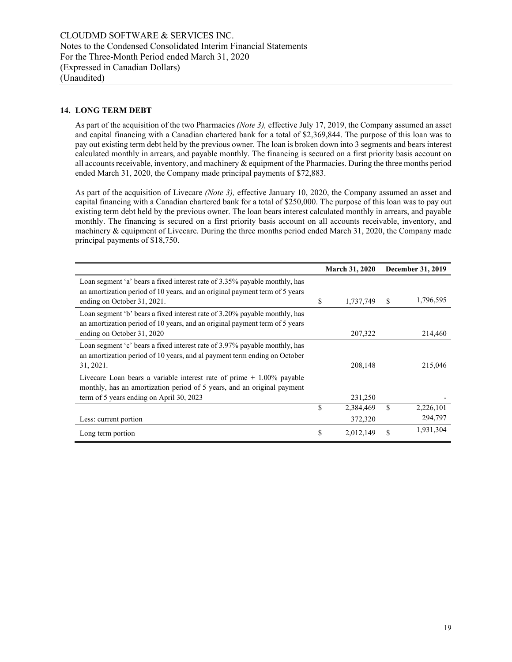# **14. LONG TERM DEBT**

As part of the acquisition of the two Pharmacies *(Note 3),* effective July 17, 2019, the Company assumed an asset and capital financing with a Canadian chartered bank for a total of \$2,369,844. The purpose of this loan was to pay out existing term debt held by the previous owner. The loan is broken down into 3 segments and bears interest calculated monthly in arrears, and payable monthly. The financing is secured on a first priority basis account on all accounts receivable, inventory, and machinery & equipment of the Pharmacies. During the three months period ended March 31, 2020, the Company made principal payments of \$72,883.

As part of the acquisition of Livecare *(Note 3),* effective January 10, 2020, the Company assumed an asset and capital financing with a Canadian chartered bank for a total of \$250,000. The purpose of this loan was to pay out existing term debt held by the previous owner. The loan bears interest calculated monthly in arrears, and payable monthly. The financing is secured on a first priority basis account on all accounts receivable, inventory, and machinery & equipment of Livecare. During the three months period ended March 31, 2020, the Company made principal payments of \$18,750.

|                                                                                                                                                                                                |               | <b>March 31, 2020</b> |    | December 31, 2019    |
|------------------------------------------------------------------------------------------------------------------------------------------------------------------------------------------------|---------------|-----------------------|----|----------------------|
| Loan segment 'a' bears a fixed interest rate of 3.35% payable monthly, has<br>an amortization period of 10 years, and an original payment term of 5 years<br>ending on October 31, 2021.       | \$            | 1,737,749             | S  | 1,796,595            |
| Loan segment 'b' bears a fixed interest rate of 3.20% payable monthly, has<br>an amortization period of 10 years, and an original payment term of 5 years<br>ending on October 31, 2020        |               | 207,322               |    | 214,460              |
| Loan segment 'c' bears a fixed interest rate of 3.97% payable monthly, has<br>an amortization period of 10 years, and al payment term ending on October<br>31, 2021.                           |               | 208,148               |    | 215,046              |
| Livecare Loan bears a variable interest rate of prime $+1.00\%$ payable<br>monthly, has an amortization period of 5 years, and an original payment<br>term of 5 years ending on April 30, 2023 |               | 231,250               |    |                      |
| Less: current portion                                                                                                                                                                          | \$            | 2,384,469<br>372,320  | \$ | 2,226,101<br>294,797 |
| Long term portion                                                                                                                                                                              | <sup>\$</sup> | 2,012,149             | S  | 1,931,304            |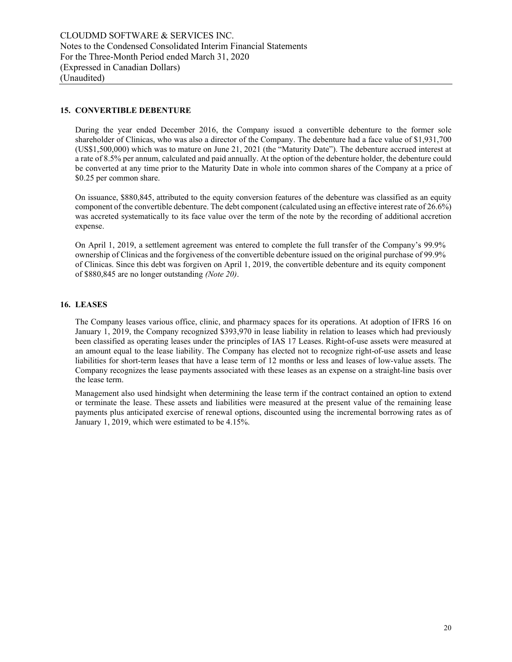# **15. CONVERTIBLE DEBENTURE**

During the year ended December 2016, the Company issued a convertible debenture to the former sole shareholder of Clinicas, who was also a director of the Company. The debenture had a face value of \$1,931,700 (US\$1,500,000) which was to mature on June 21, 2021 (the "Maturity Date"). The debenture accrued interest at a rate of 8.5% per annum, calculated and paid annually. At the option of the debenture holder, the debenture could be converted at any time prior to the Maturity Date in whole into common shares of the Company at a price of \$0.25 per common share.

On issuance, \$880,845, attributed to the equity conversion features of the debenture was classified as an equity component of the convertible debenture. The debt component (calculated using an effective interest rate of 26.6%) was accreted systematically to its face value over the term of the note by the recording of additional accretion expense.

On April 1, 2019, a settlement agreement was entered to complete the full transfer of the Company's 99.9% ownership of Clinicas and the forgiveness of the convertible debenture issued on the original purchase of 99.9% of Clinicas. Since this debt was forgiven on April 1, 2019, the convertible debenture and its equity component of \$880,845 are no longer outstanding *(Note 20)*.

# **16. LEASES**

The Company leases various office, clinic, and pharmacy spaces for its operations. At adoption of IFRS 16 on January 1, 2019, the Company recognized \$393,970 in lease liability in relation to leases which had previously been classified as operating leases under the principles of IAS 17 Leases. Right-of-use assets were measured at an amount equal to the lease liability. The Company has elected not to recognize right-of-use assets and lease liabilities for short-term leases that have a lease term of 12 months or less and leases of low-value assets. The Company recognizes the lease payments associated with these leases as an expense on a straight-line basis over the lease term.

Management also used hindsight when determining the lease term if the contract contained an option to extend or terminate the lease. These assets and liabilities were measured at the present value of the remaining lease payments plus anticipated exercise of renewal options, discounted using the incremental borrowing rates as of January 1, 2019, which were estimated to be 4.15%.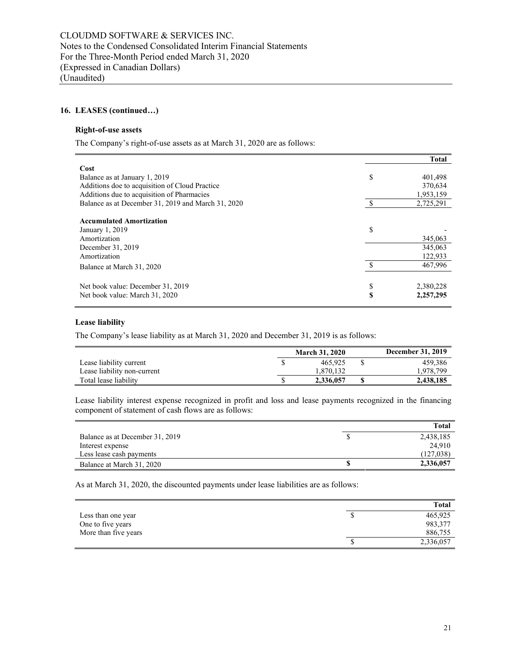# **16. LEASES (continued…)**

#### **Right-of-use assets**

The Company's right-of-use assets as at March 31, 2020 are as follows:

|                                                    |    | <b>Total</b> |
|----------------------------------------------------|----|--------------|
| Cost                                               |    |              |
| Balance as at January 1, 2019                      | \$ | 401,498      |
| Additions doe to acquisition of Cloud Practice     |    | 370,634      |
| Additions due to acquisition of Pharmacies         |    | 1,953,159    |
| Balance as at December 31, 2019 and March 31, 2020 |    | 2,725,291    |
| <b>Accumulated Amortization</b>                    |    |              |
| January 1, 2019                                    | \$ |              |
| Amortization                                       |    | 345,063      |
| December 31, 2019                                  |    | 345,063      |
| Amortization                                       |    | 122,933      |
| Balance at March 31, 2020                          | ९  | 467,996      |
| Net book value: December 31, 2019                  | \$ | 2,380,228    |
| Net book value: March 31, 2020                     | S  | 2,257,295    |

# **Lease liability**

The Company's lease liability as at March 31, 2020 and December 31, 2019 is as follows:

|                             | <b>March 31, 2020</b> | <b>December 31, 2019</b> |
|-----------------------------|-----------------------|--------------------------|
| Lease liability current     | 465,925               | 459.386                  |
| Lease liability non-current | 1.870.132             | 1,978,799                |
| Total lease liability       | 2,336,057             | 2,438,185                |

Lease liability interest expense recognized in profit and loss and lease payments recognized in the financing component of statement of cash flows are as follows:

|                                 | Total     |
|---------------------------------|-----------|
| Balance as at December 31, 2019 | 2,438,185 |
| Interest expense                | 24.910    |
| Less lease cash payments        | (127,038) |
| Balance at March 31, 2020       | 2,336,057 |

As at March 31, 2020, the discounted payments under lease liabilities are as follows:

|                      |   | Total     |
|----------------------|---|-----------|
| Less than one year   | Φ | 465,925   |
| One to five years    |   | 983,377   |
| More than five years |   | 886,755   |
|                      | Φ | 2,336,057 |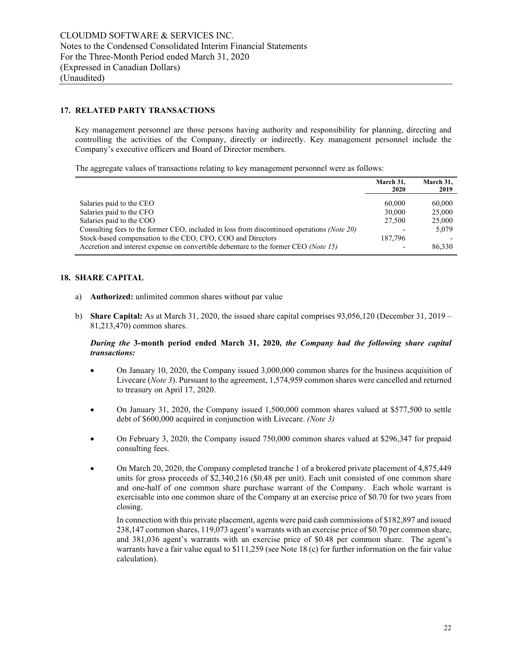# **17. RELATED PARTY TRANSACTIONS**

Key management personnel are those persons having authority and responsibility for planning, directing and controlling the activities of the Company, directly or indirectly. Key management personnel include the Company's executive officers and Board of Director members.

The aggregate values of transactions relating to key management personnel were as follows:

|                                                                                                                                                                                                                                               | March 31,<br>2020                                                 | March 31,<br>2019                   |
|-----------------------------------------------------------------------------------------------------------------------------------------------------------------------------------------------------------------------------------------------|-------------------------------------------------------------------|-------------------------------------|
| Salaries paid to the CEO<br>Salaries paid to the CFO<br>Salaries paid to the COO<br>Consulting fees to the former CEO, included in loss from discontinued operations (Note 20)<br>Stock-based compensation to the CEO, CFO, COO and Directors | 60,000<br>30,000<br>27,500<br>$\overline{\phantom{a}}$<br>187,796 | 60,000<br>25,000<br>25,000<br>5,079 |
| Accretion and interest expense on convertible debenture to the former CEO (Note 15)                                                                                                                                                           |                                                                   | 86,330                              |

# **18. SHARE CAPITAL**

- a) **Authorized:** unlimited common shares without par value
- b) **Share Capital:** As at March 31, 2020, the issued share capital comprises 93,056,120 (December 31, 2019 81,213,470) common shares.

# *During the* **3-month period ended March 31, 2020***, the Company had the following share capital transactions:*

- On January 10, 2020, the Company issued 3,000,000 common shares for the business acquisition of Livecare (*Note 3*). Pursuant to the agreement, 1,574,959 common shares were cancelled and returned to treasury on April 17, 2020.
- On January 31, 2020, the Company issued 1,500,000 common shares valued at \$577,500 to settle debt of \$600,000 acquired in conjunction with Livecare. *(Note 3)*
- On February 3, 2020, the Company issued 750,000 common shares valued at \$296,347 for prepaid consulting fees.
- On March 20, 2020, the Company completed tranche 1 of a brokered private placement of 4,875,449 units for gross proceeds of \$2,340,216 (\$0.48 per unit). Each unit consisted of one common share and one-half of one common share purchase warrant of the Company. Each whole warrant is exercisable into one common share of the Company at an exercise price of \$0.70 for two years from closing.

In connection with this private placement, agents were paid cash commissions of \$182,897 and issued 238,147 common shares, 119,073 agent's warrants with an exercise price of \$0.70 per common share, and 381,036 agent's warrants with an exercise price of \$0.48 per common share. The agent's warrants have a fair value equal to \$111,259 (see Note 18 (c) for further information on the fair value calculation).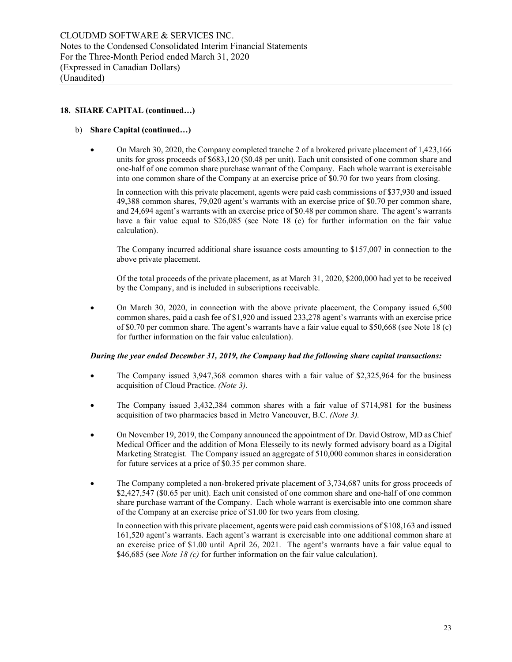#### b) **Share Capital (continued…)**

• On March 30, 2020, the Company completed tranche 2 of a brokered private placement of 1,423,166 units for gross proceeds of \$683,120 (\$0.48 per unit). Each unit consisted of one common share and one-half of one common share purchase warrant of the Company. Each whole warrant is exercisable into one common share of the Company at an exercise price of \$0.70 for two years from closing.

In connection with this private placement, agents were paid cash commissions of \$37,930 and issued 49,388 common shares, 79,020 agent's warrants with an exercise price of \$0.70 per common share, and 24,694 agent's warrants with an exercise price of \$0.48 per common share. The agent's warrants have a fair value equal to \$26,085 (see Note 18 (c) for further information on the fair value calculation).

The Company incurred additional share issuance costs amounting to \$157,007 in connection to the above private placement.

Of the total proceeds of the private placement, as at March 31, 2020, \$200,000 had yet to be received by the Company, and is included in subscriptions receivable.

• On March 30, 2020, in connection with the above private placement, the Company issued 6,500 common shares, paid a cash fee of \$1,920 and issued 233,278 agent's warrants with an exercise price of \$0.70 per common share. The agent's warrants have a fair value equal to \$50,668 (see Note 18 (c) for further information on the fair value calculation).

#### *During the year ended December 31, 2019, the Company had the following share capital transactions:*

- The Company issued 3,947,368 common shares with a fair value of \$2,325,964 for the business acquisition of Cloud Practice. *(Note 3).*
- The Company issued 3,432,384 common shares with a fair value of \$714,981 for the business acquisition of two pharmacies based in Metro Vancouver, B.C. *(Note 3).*
- On November 19, 2019, the Company announced the appointment of Dr. David Ostrow, MD as Chief Medical Officer and the addition of Mona Elesseily to its newly formed advisory board as a Digital Marketing Strategist. The Company issued an aggregate of 510,000 common shares in consideration for future services at a price of \$0.35 per common share.
- The Company completed a non-brokered private placement of 3,734,687 units for gross proceeds of \$2,427,547 (\$0.65 per unit). Each unit consisted of one common share and one-half of one common share purchase warrant of the Company. Each whole warrant is exercisable into one common share of the Company at an exercise price of \$1.00 for two years from closing.

In connection with this private placement, agents were paid cash commissions of \$108,163 and issued 161,520 agent's warrants. Each agent's warrant is exercisable into one additional common share at an exercise price of \$1.00 until April 26, 2021. The agent's warrants have a fair value equal to \$46,685 (see *Note 18 (c)* for further information on the fair value calculation).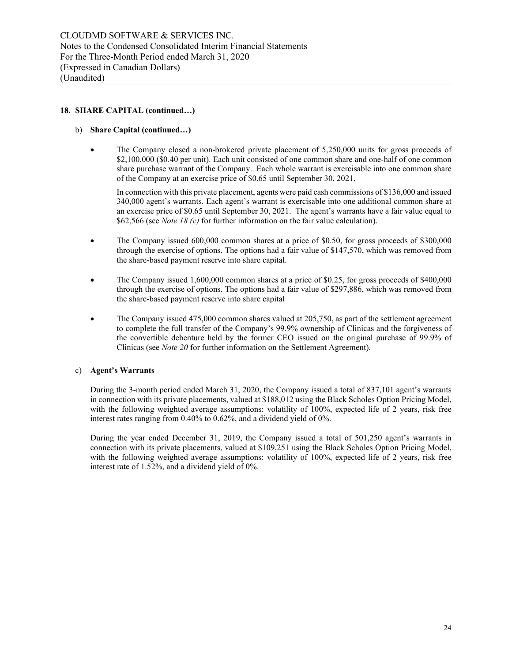#### b) **Share Capital (continued…)**

• The Company closed a non-brokered private placement of 5,250,000 units for gross proceeds of \$2,100,000 (\$0.40 per unit). Each unit consisted of one common share and one-half of one common share purchase warrant of the Company. Each whole warrant is exercisable into one common share of the Company at an exercise price of \$0.65 until September 30, 2021.

In connection with this private placement, agents were paid cash commissions of \$136,000 and issued 340,000 agent's warrants. Each agent's warrant is exercisable into one additional common share at an exercise price of \$0.65 until September 30, 2021. The agent's warrants have a fair value equal to \$62,566 (see *Note 18 (c)* for further information on the fair value calculation).

- The Company issued 600,000 common shares at a price of \$0.50, for gross proceeds of \$300,000 through the exercise of options. The options had a fair value of \$147,570, which was removed from the share-based payment reserve into share capital.
- The Company issued 1,600,000 common shares at a price of \$0.25, for gross proceeds of \$400,000 through the exercise of options. The options had a fair value of \$297,886, which was removed from the share-based payment reserve into share capital
- The Company issued 475,000 common shares valued at 205,750, as part of the settlement agreement to complete the full transfer of the Company's 99.9% ownership of Clinicas and the forgiveness of the convertible debenture held by the former CEO issued on the original purchase of 99.9% of Clinicas (see *Note 20* for further information on the Settlement Agreement).

# c) **Agent's Warrants**

During the 3-month period ended March 31, 2020, the Company issued a total of 837,101 agent's warrants in connection with its private placements, valued at \$188,012 using the Black Scholes Option Pricing Model, with the following weighted average assumptions: volatility of 100%, expected life of 2 years, risk free interest rates ranging from 0.40% to 0.62%, and a dividend yield of 0%.

During the year ended December 31, 2019, the Company issued a total of 501,250 agent's warrants in connection with its private placements, valued at \$109,251 using the Black Scholes Option Pricing Model, with the following weighted average assumptions: volatility of 100%, expected life of 2 years, risk free interest rate of 1.52%, and a dividend yield of 0%.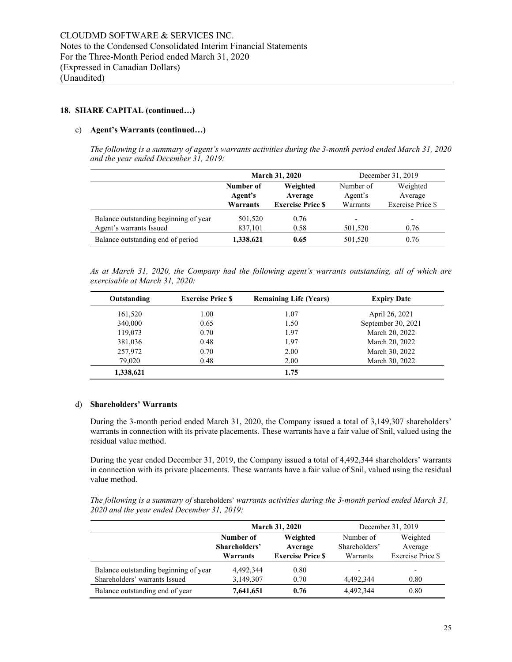#### c) **Agent's Warrants (continued…)**

*The following is a summary of agent's warrants activities during the 3-month period ended March 31, 2020 and the year ended December 31, 2019:*

|                                       |           | <b>March 31, 2020</b>    |           | December 31, 2019        |
|---------------------------------------|-----------|--------------------------|-----------|--------------------------|
|                                       | Number of | Weighted                 | Number of | Weighted                 |
|                                       | Agent's   | Average                  | Agent's   | Average                  |
|                                       | Warrants  | <b>Exercise Price \$</b> | Warrants  | Exercise Price \$        |
| Balance outstanding beginning of year | 501,520   | 0.76                     | -         | $\overline{\phantom{0}}$ |
| Agent's warrants Issued               | 837,101   | 0.58                     | 501,520   | 0.76                     |
| Balance outstanding end of period     | 1,338,621 | 0.65                     | 501,520   | 0.76                     |

*As at March 31, 2020, the Company had the following agent's warrants outstanding, all of which are exercisable at March 31, 2020:* 

| Outstanding | <b>Exercise Price S</b> | <b>Remaining Life (Years)</b> | <b>Expiry Date</b> |
|-------------|-------------------------|-------------------------------|--------------------|
| 161,520     | 1.00                    | 1.07                          | April 26, 2021     |
| 340,000     | 0.65                    | 1.50                          | September 30, 2021 |
| 119,073     | 0.70                    | 1.97                          | March 20, 2022     |
| 381,036     | 0.48                    | 1.97                          | March 20, 2022     |
| 257,972     | 0.70                    | 2.00                          | March 30, 2022     |
| 79,020      | 0.48                    | 2.00                          | March 30, 2022     |
| 1,338,621   |                         | 1.75                          |                    |

#### d) **Shareholders' Warrants**

During the 3-month period ended March 31, 2020, the Company issued a total of 3,149,307 shareholders' warrants in connection with its private placements. These warrants have a fair value of \$nil, valued using the residual value method.

During the year ended December 31, 2019, the Company issued a total of 4,492,344 shareholders' warrants in connection with its private placements. These warrants have a fair value of \$nil, valued using the residual value method.

*The following is a summary of* shareholders' *warrants activities during the 3-month period ended March 31, 2020 and the year ended December 31, 2019:* 

|                                       |               | <b>March 31, 2020</b>    | December 31, 2019        |                          |  |
|---------------------------------------|---------------|--------------------------|--------------------------|--------------------------|--|
|                                       | Number of     | Weighted                 | Number of                | Weighted                 |  |
|                                       | Shareholders' | Average                  | Shareholders'            | Average                  |  |
|                                       | Warrants      | <b>Exercise Price \$</b> | Warrants                 | Exercise Price \$        |  |
| Balance outstanding beginning of year | 4.492.344     | 0.80                     | $\overline{\phantom{a}}$ | $\overline{\phantom{a}}$ |  |
| Shareholders' warrants Issued         | 3,149,307     | 0.70                     | 4.492.344                | 0.80                     |  |
| Balance outstanding end of year       | 7,641,651     | 0.76                     | 4,492,344                | 0.80                     |  |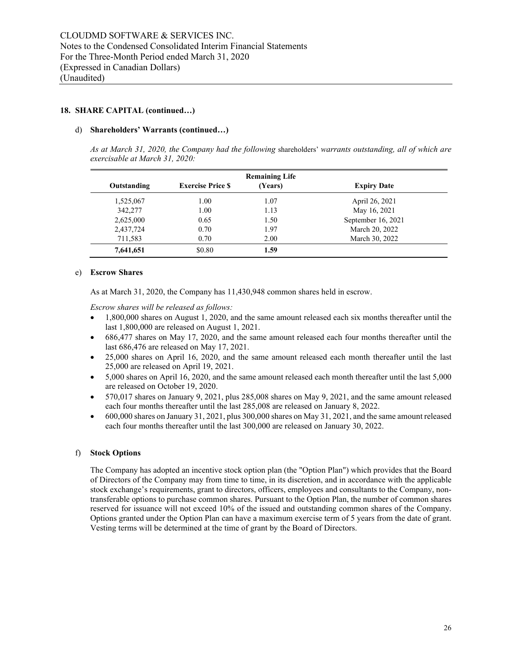#### d) **Shareholders' Warrants (continued…)**

*As at March 31, 2020, the Company had the following* shareholders' *warrants outstanding, all of which are exercisable at March 31, 2020:* 

| <b>Remaining Life</b> |                         |         |                    |  |  |
|-----------------------|-------------------------|---------|--------------------|--|--|
| Outstanding           | <b>Exercise Price S</b> | (Years) | <b>Expiry Date</b> |  |  |
| 1,525,067             | 1.00                    | 1.07    | April 26, 2021     |  |  |
| 342,277               | 1.00                    | 1.13    | May 16, 2021       |  |  |
| 2,625,000             | 0.65                    | 1.50    | September 16, 2021 |  |  |
| 2,437,724             | 0.70                    | 1.97    | March 20, 2022     |  |  |
| 711,583               | 0.70                    | 2.00    | March 30, 2022     |  |  |
| 7,641,651             | \$0.80                  | 1.59    |                    |  |  |

#### e) **Escrow Shares**

As at March 31, 2020, the Company has 11,430,948 common shares held in escrow.

*Escrow shares will be released as follows:*

- 1,800,000 shares on August 1, 2020, and the same amount released each six months thereafter until the last 1,800,000 are released on August 1, 2021.
- 686,477 shares on May 17, 2020, and the same amount released each four months thereafter until the last 686,476 are released on May 17, 2021.
- 25,000 shares on April 16, 2020, and the same amount released each month thereafter until the last 25,000 are released on April 19, 2021.
- 5,000 shares on April 16, 2020, and the same amount released each month thereafter until the last 5,000 are released on October 19, 2020.
- 570,017 shares on January 9, 2021, plus 285,008 shares on May 9, 2021, and the same amount released each four months thereafter until the last 285,008 are released on January 8, 2022.
- 600,000 shares on January 31, 2021, plus 300,000 shares on May 31, 2021, and the same amount released each four months thereafter until the last 300,000 are released on January 30, 2022.

#### f) **Stock Options**

The Company has adopted an incentive stock option plan (the "Option Plan") which provides that the Board of Directors of the Company may from time to time, in its discretion, and in accordance with the applicable stock exchange's requirements, grant to directors, officers, employees and consultants to the Company, nontransferable options to purchase common shares. Pursuant to the Option Plan, the number of common shares reserved for issuance will not exceed 10% of the issued and outstanding common shares of the Company. Options granted under the Option Plan can have a maximum exercise term of 5 years from the date of grant. Vesting terms will be determined at the time of grant by the Board of Directors.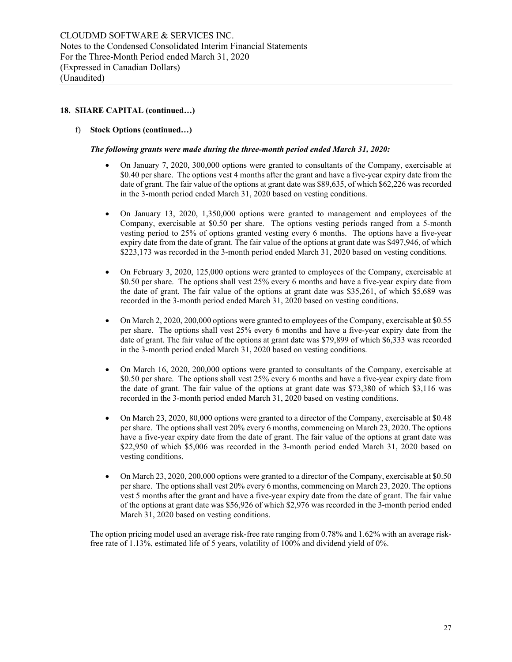# f) **Stock Options (continued…)**

#### *The following grants were made during the three-month period ended March 31, 2020:*

- On January 7, 2020, 300,000 options were granted to consultants of the Company, exercisable at \$0.40 per share. The options vest 4 months after the grant and have a five-year expiry date from the date of grant. The fair value of the options at grant date was \$89,635, of which \$62,226 was recorded in the 3-month period ended March 31, 2020 based on vesting conditions.
- On January 13, 2020, 1,350,000 options were granted to management and employees of the Company, exercisable at \$0.50 per share. The options vesting periods ranged from a 5-month vesting period to 25% of options granted vesting every 6 months. The options have a five-year expiry date from the date of grant. The fair value of the options at grant date was \$497,946, of which \$223,173 was recorded in the 3-month period ended March 31, 2020 based on vesting conditions.
- On February 3, 2020, 125,000 options were granted to employees of the Company, exercisable at \$0.50 per share. The options shall vest 25% every 6 months and have a five-year expiry date from the date of grant. The fair value of the options at grant date was \$35,261, of which \$5,689 was recorded in the 3-month period ended March 31, 2020 based on vesting conditions.
- On March 2, 2020, 200,000 options were granted to employees of the Company, exercisable at \$0.55 per share. The options shall vest 25% every 6 months and have a five-year expiry date from the date of grant. The fair value of the options at grant date was \$79,899 of which \$6,333 was recorded in the 3-month period ended March 31, 2020 based on vesting conditions.
- On March 16, 2020, 200,000 options were granted to consultants of the Company, exercisable at \$0.50 per share. The options shall vest 25% every 6 months and have a five-year expiry date from the date of grant. The fair value of the options at grant date was \$73,380 of which \$3,116 was recorded in the 3-month period ended March 31, 2020 based on vesting conditions.
- On March 23, 2020, 80,000 options were granted to a director of the Company, exercisable at \$0.48 per share. The options shall vest 20% every 6 months, commencing on March 23, 2020. The options have a five-year expiry date from the date of grant. The fair value of the options at grant date was \$22,950 of which \$5,006 was recorded in the 3-month period ended March 31, 2020 based on vesting conditions.
- On March 23, 2020, 200,000 options were granted to a director of the Company, exercisable at \$0.50 per share. The options shall vest 20% every 6 months, commencing on March 23, 2020. The options vest 5 months after the grant and have a five-year expiry date from the date of grant. The fair value of the options at grant date was \$56,926 of which \$2,976 was recorded in the 3-month period ended March 31, 2020 based on vesting conditions.

The option pricing model used an average risk-free rate ranging from 0.78% and 1.62% with an average riskfree rate of 1.13%, estimated life of 5 years, volatility of 100% and dividend yield of 0%.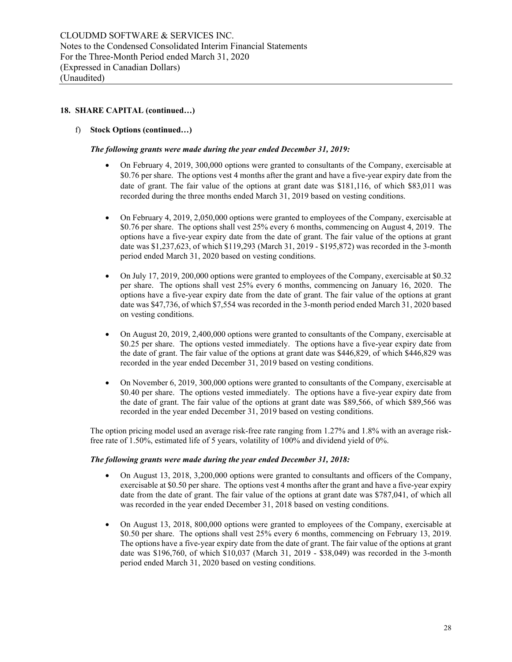# f) **Stock Options (continued…)**

#### *The following grants were made during the year ended December 31, 2019:*

- On February 4, 2019, 300,000 options were granted to consultants of the Company, exercisable at \$0.76 per share. The options vest 4 months after the grant and have a five-year expiry date from the date of grant. The fair value of the options at grant date was \$181,116, of which \$83,011 was recorded during the three months ended March 31, 2019 based on vesting conditions.
- On February 4, 2019, 2,050,000 options were granted to employees of the Company, exercisable at \$0.76 per share. The options shall vest 25% every 6 months, commencing on August 4, 2019. The options have a five-year expiry date from the date of grant. The fair value of the options at grant date was \$1,237,623, of which \$119,293 (March 31, 2019 - \$195,872) was recorded in the 3-month period ended March 31, 2020 based on vesting conditions.
- On July 17, 2019, 200,000 options were granted to employees of the Company, exercisable at \$0.32 per share. The options shall vest 25% every 6 months, commencing on January 16, 2020. The options have a five-year expiry date from the date of grant. The fair value of the options at grant date was \$47,736, of which \$7,554 was recorded in the 3-month period ended March 31, 2020 based on vesting conditions.
- On August 20, 2019, 2,400,000 options were granted to consultants of the Company, exercisable at \$0.25 per share. The options vested immediately. The options have a five-year expiry date from the date of grant. The fair value of the options at grant date was \$446,829, of which \$446,829 was recorded in the year ended December 31, 2019 based on vesting conditions.
- On November 6, 2019, 300,000 options were granted to consultants of the Company, exercisable at \$0.40 per share. The options vested immediately. The options have a five-year expiry date from the date of grant. The fair value of the options at grant date was \$89,566, of which \$89,566 was recorded in the year ended December 31, 2019 based on vesting conditions.

The option pricing model used an average risk-free rate ranging from 1.27% and 1.8% with an average riskfree rate of 1.50%, estimated life of 5 years, volatility of 100% and dividend yield of 0%.

#### *The following grants were made during the year ended December 31, 2018:*

- On August 13, 2018, 3,200,000 options were granted to consultants and officers of the Company, exercisable at \$0.50 per share. The options vest 4 months after the grant and have a five-year expiry date from the date of grant. The fair value of the options at grant date was \$787,041, of which all was recorded in the year ended December 31, 2018 based on vesting conditions.
- On August 13, 2018, 800,000 options were granted to employees of the Company, exercisable at \$0.50 per share. The options shall vest 25% every 6 months, commencing on February 13, 2019. The options have a five-year expiry date from the date of grant. The fair value of the options at grant date was \$196,760, of which \$10,037 (March 31, 2019 - \$38,049) was recorded in the 3-month period ended March 31, 2020 based on vesting conditions.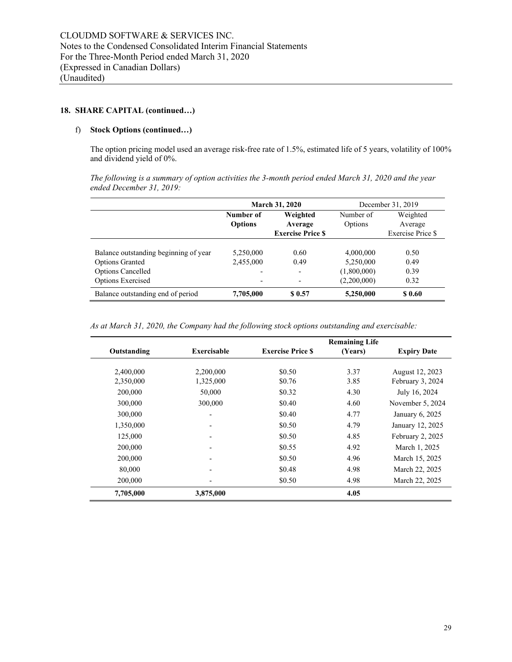## f) **Stock Options (continued…)**

The option pricing model used an average risk-free rate of 1.5%, estimated life of 5 years, volatility of 100% and dividend yield of 0%.

*The following is a summary of option activities the 3-month period ended March 31, 2020 and the year ended December 31, 2019:* 

|                                       |                | <b>March 31, 2020</b>        | December 31, 2019 |                   |  |
|---------------------------------------|----------------|------------------------------|-------------------|-------------------|--|
|                                       | Number of      | Weighted                     | Number of         | Weighted          |  |
|                                       | <b>Options</b> | Average                      | Options           | Average           |  |
|                                       |                | <b>Exercise Price S</b>      |                   | Exercise Price \$ |  |
|                                       |                |                              |                   |                   |  |
| Balance outstanding beginning of year | 5,250,000      | 0.60                         | 4,000,000         | 0.50              |  |
| <b>Options Granted</b>                | 2,455,000      | 0.49                         | 5,250,000         | 0.49              |  |
| <b>Options Cancelled</b>              |                | -                            | (1,800,000)       | 0.39              |  |
| <b>Options Exercised</b>              | ٠              | $\qquad \qquad \blacksquare$ | (2,200,000)       | 0.32              |  |
| Balance outstanding end of period     | 7,705,000      | \$0.57                       | 5,250,000         | \$0.60            |  |

*As at March 31, 2020, the Company had the following stock options outstanding and exercisable:*

|             |                    |                         | <b>Remaining Life</b> |                    |
|-------------|--------------------|-------------------------|-----------------------|--------------------|
| Outstanding | <b>Exercisable</b> | <b>Exercise Price S</b> | (Years)               | <b>Expiry Date</b> |
|             |                    |                         |                       |                    |
| 2,400,000   | 2,200,000          | \$0.50                  | 3.37                  | August 12, 2023    |
| 2,350,000   | 1,325,000          | \$0.76                  | 3.85                  | February 3, 2024   |
| 200,000     | 50,000             | \$0.32                  | 4.30                  | July 16, 2024      |
| 300,000     | 300,000            | \$0.40                  | 4.60                  | November 5, 2024   |
| 300,000     |                    | \$0.40                  | 4.77                  | January 6, 2025    |
| 1,350,000   |                    | \$0.50                  | 4.79                  | January 12, 2025   |
| 125,000     |                    | \$0.50                  | 4.85                  | February 2, 2025   |
| 200,000     |                    | \$0.55                  | 4.92                  | March 1, 2025      |
| 200,000     |                    | \$0.50                  | 4.96                  | March 15, 2025     |
| 80,000      |                    | \$0.48                  | 4.98                  | March 22, 2025     |
| 200,000     |                    | \$0.50                  | 4.98                  | March 22, 2025     |
| 7,705,000   | 3,875,000          |                         | 4.05                  |                    |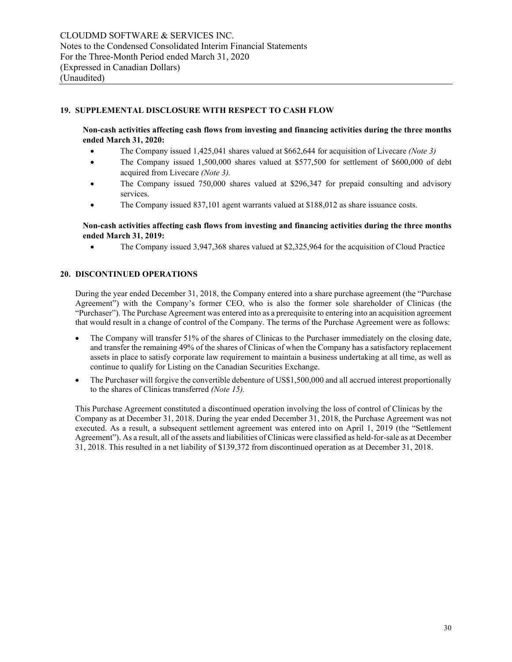# **19. SUPPLEMENTAL DISCLOSURE WITH RESPECT TO CASH FLOW**

**Non-cash activities affecting cash flows from investing and financing activities during the three months ended March 31, 2020:**

- The Company issued 1,425,041 shares valued at \$662,644 for acquisition of Livecare *(Note 3)*
- The Company issued 1,500,000 shares valued at \$577,500 for settlement of \$600,000 of debt acquired from Livecare *(Note 3).*
- The Company issued 750,000 shares valued at \$296,347 for prepaid consulting and advisory services.
- The Company issued 837,101 agent warrants valued at \$188,012 as share issuance costs.

## **Non-cash activities affecting cash flows from investing and financing activities during the three months ended March 31, 2019:**

• The Company issued 3,947,368 shares valued at \$2,325,964 for the acquisition of Cloud Practice

## **20. DISCONTINUED OPERATIONS**

During the year ended December 31, 2018, the Company entered into a share purchase agreement (the "Purchase Agreement") with the Company's former CEO, who is also the former sole shareholder of Clinicas (the "Purchaser"). The Purchase Agreement was entered into as a prerequisite to entering into an acquisition agreement that would result in a change of control of the Company. The terms of the Purchase Agreement were as follows:

- The Company will transfer 51% of the shares of Clinicas to the Purchaser immediately on the closing date, and transfer the remaining 49% of the shares of Clinicas of when the Company has a satisfactory replacement assets in place to satisfy corporate law requirement to maintain a business undertaking at all time, as well as continue to qualify for Listing on the Canadian Securities Exchange.
- The Purchaser will forgive the convertible debenture of US\$1,500,000 and all accrued interest proportionally to the shares of Clinicas transferred *(Note 15).*

This Purchase Agreement constituted a discontinued operation involving the loss of control of Clinicas by the Company as at December 31, 2018. During the year ended December 31, 2018, the Purchase Agreement was not executed. As a result, a subsequent settlement agreement was entered into on April 1, 2019 (the "Settlement Agreement"). As a result, all of the assets and liabilities of Clinicas were classified as held-for-sale as at December 31, 2018. This resulted in a net liability of \$139,372 from discontinued operation as at December 31, 2018.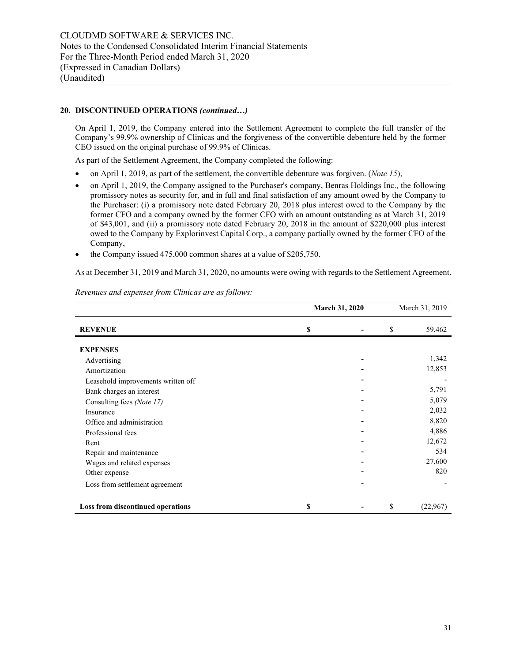### **20. DISCONTINUED OPERATIONS** *(continued…)*

On April 1, 2019, the Company entered into the Settlement Agreement to complete the full transfer of the Company's 99.9% ownership of Clinicas and the forgiveness of the convertible debenture held by the former CEO issued on the original purchase of 99.9% of Clinicas.

As part of the Settlement Agreement, the Company completed the following:

- on April 1, 2019, as part of the settlement, the convertible debenture was forgiven. (*Note 15*),
- on April 1, 2019, the Company assigned to the Purchaser's company, Benras Holdings Inc., the following promissory notes as security for, and in full and final satisfaction of any amount owed by the Company to the Purchaser: (i) a promissory note dated February 20, 2018 plus interest owed to the Company by the former CFO and a company owned by the former CFO with an amount outstanding as at March 31, 2019 of \$43,001, and (ii) a promissory note dated February 20, 2018 in the amount of \$220,000 plus interest owed to the Company by Explorinvest Capital Corp., a company partially owned by the former CFO of the Company,
- the Company issued 475,000 common shares at a value of \$205,750.

As at December 31, 2019 and March 31, 2020, no amounts were owing with regards to the Settlement Agreement.

|                                    | <b>March 31, 2020</b> |  | March 31, 2019 |          |
|------------------------------------|-----------------------|--|----------------|----------|
| <b>REVENUE</b>                     | \$                    |  | \$             | 59,462   |
| <b>EXPENSES</b>                    |                       |  |                |          |
| Advertising                        |                       |  |                | 1,342    |
| Amortization                       |                       |  |                | 12,853   |
| Leasehold improvements written off |                       |  |                |          |
| Bank charges an interest           |                       |  |                | 5,791    |
| Consulting fees (Note 17)          |                       |  |                | 5,079    |
| Insurance                          |                       |  |                | 2,032    |
| Office and administration          |                       |  |                | 8,820    |
| Professional fees                  |                       |  |                | 4,886    |
| Rent                               |                       |  |                | 12,672   |
| Repair and maintenance             |                       |  |                | 534      |
| Wages and related expenses         |                       |  |                | 27,600   |
| Other expense                      |                       |  |                | 820      |
| Loss from settlement agreement     |                       |  |                |          |
| Loss from discontinued operations  | \$                    |  | \$             | (22,967) |

*Revenues and expenses from Clinicas are as follows:*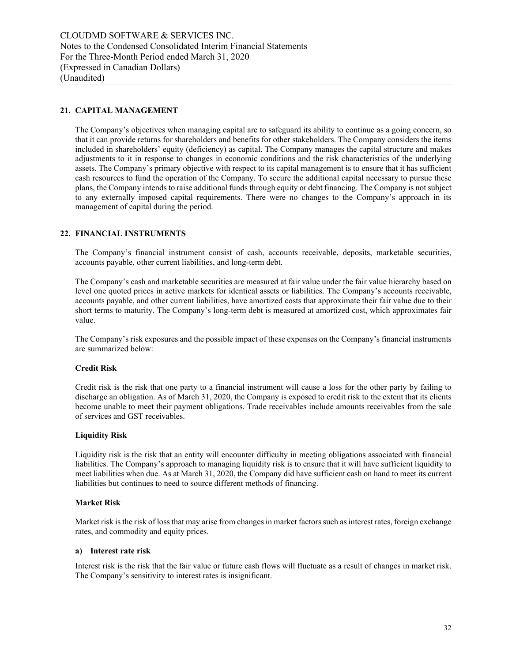# **21. CAPITAL MANAGEMENT**

The Company's objectives when managing capital are to safeguard its ability to continue as a going concern, so that it can provide returns for shareholders and benefits for other stakeholders. The Company considers the items included in shareholders' equity (deficiency) as capital. The Company manages the capital structure and makes adjustments to it in response to changes in economic conditions and the risk characteristics of the underlying assets. The Company's primary objective with respect to its capital management is to ensure that it has sufficient cash resources to fund the operation of the Company. To secure the additional capital necessary to pursue these plans, the Company intends to raise additional funds through equity or debt financing. The Company is not subject to any externally imposed capital requirements. There were no changes to the Company's approach in its management of capital during the period.

#### **22. FINANCIAL INSTRUMENTS**

The Company's financial instrument consist of cash, accounts receivable, deposits, marketable securities, accounts payable, other current liabilities, and long-term debt.

The Company's cash and marketable securities are measured at fair value under the fair value hierarchy based on level one quoted prices in active markets for identical assets or liabilities. The Company's accounts receivable, accounts payable, and other current liabilities, have amortized costs that approximate their fair value due to their short terms to maturity. The Company's long-term debt is measured at amortized cost, which approximates fair value.

The Company's risk exposures and the possible impact of these expenses on the Company's financial instruments are summarized below:

#### **Credit Risk**

Credit risk is the risk that one party to a financial instrument will cause a loss for the other party by failing to discharge an obligation. As of March 31, 2020, the Company is exposed to credit risk to the extent that its clients become unable to meet their payment obligations. Trade receivables include amounts receivables from the sale of services and GST receivables.

#### **Liquidity Risk**

Liquidity risk is the risk that an entity will encounter difficulty in meeting obligations associated with financial liabilities. The Company's approach to managing liquidity risk is to ensure that it will have sufficient liquidity to meet liabilities when due. As at March 31, 2020, the Company did have sufficient cash on hand to meet its current liabilities but continues to need to source different methods of financing.

#### **Market Risk**

Market risk is the risk of loss that may arise from changes in market factors such as interest rates, foreign exchange rates, and commodity and equity prices.

# **a) Interest rate risk**

Interest risk is the risk that the fair value or future cash flows will fluctuate as a result of changes in market risk. The Company's sensitivity to interest rates is insignificant.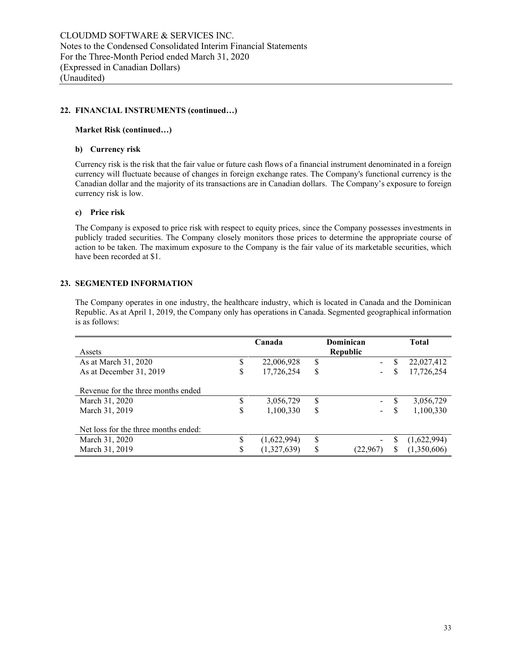# **22. FINANCIAL INSTRUMENTS (continued…)**

### **Market Risk (continued…)**

# **b) Currency risk**

Currency risk is the risk that the fair value or future cash flows of a financial instrument denominated in a foreign currency will fluctuate because of changes in foreign exchange rates. The Company's functional currency is the Canadian dollar and the majority of its transactions are in Canadian dollars. The Company's exposure to foreign currency risk is low.

# **c) Price risk**

The Company is exposed to price risk with respect to equity prices, since the Company possesses investments in publicly traded securities. The Company closely monitors those prices to determine the appropriate course of action to be taken. The maximum exposure to the Company is the fair value of its marketable securities, which have been recorded at \$1.

# **23. SEGMENTED INFORMATION**

The Company operates in one industry, the healthcare industry, which is located in Canada and the Dominican Republic. As at April 1, 2019, the Company only has operations in Canada. Segmented geographical information is as follows:

| Assets                               |    | Canada      |    | Dominican<br><b>Republic</b> |     | <b>Total</b> |
|--------------------------------------|----|-------------|----|------------------------------|-----|--------------|
| As at March 31, 2020                 | S  | 22,006,928  | \$ | $\sim$                       |     | 22,027,412   |
| As at December 31, 2019              | S  | 17,726,254  | \$ | $\sim$                       | S   | 17,726,254   |
| Revenue for the three months ended   |    |             |    |                              |     |              |
| March 31, 2020                       |    | 3,056,729   | \$ | $\sim$                       |     | 3,056,729    |
| March 31, 2019                       | \$ | 1,100,330   | S  | Ξ.                           |     | 1,100,330    |
| Net loss for the three months ended: |    |             |    |                              |     |              |
| March 31, 2020                       | \$ | (1,622,994) | \$ |                              | S   | (1,622,994)  |
| March 31, 2019                       | S  | (1,327,639) | S  | (22.967)                     | \$. | (1,350,606)  |